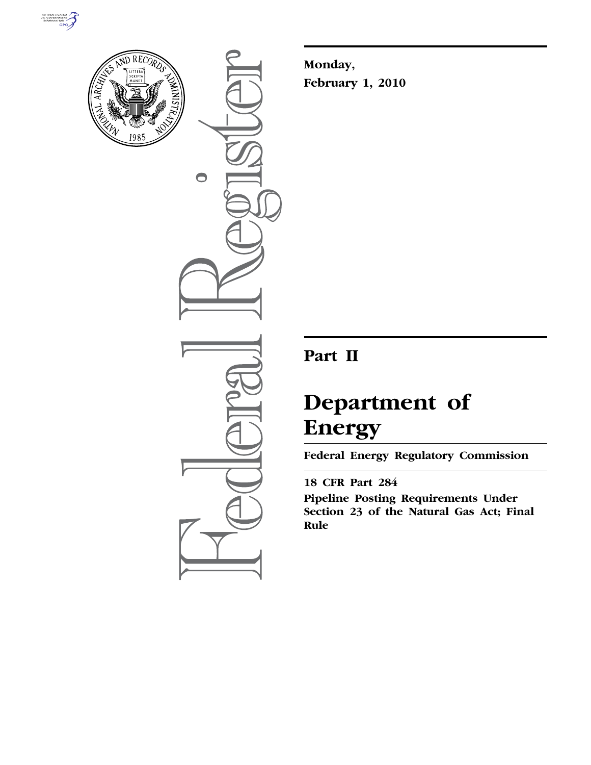



 $\bullet$ 

**Monday, February 1, 2010** 

# **Part II**

# **Department of Energy**

**Federal Energy Regulatory Commission** 

# **18 CFR Part 284**

**Pipeline Posting Requirements Under Section 23 of the Natural Gas Act; Final Rule**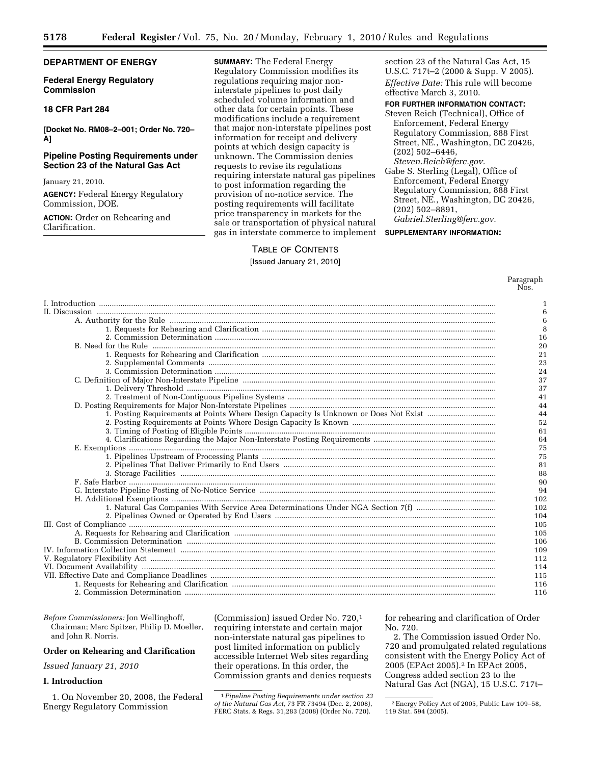# **DEPARTMENT OF ENERGY**

# **Federal Energy Regulatory Commission**

# **18 CFR Part 284**

**[Docket No. RM08–2–001; Order No. 720– A]** 

# **Pipeline Posting Requirements under Section 23 of the Natural Gas Act**

January 21, 2010.

**AGENCY:** Federal Energy Regulatory Commission, DOE.

**ACTION:** Order on Rehearing and Clarification.

**SUMMARY:** The Federal Energy Regulatory Commission modifies its regulations requiring major noninterstate pipelines to post daily scheduled volume information and other data for certain points. These modifications include a requirement that major non-interstate pipelines post information for receipt and delivery points at which design capacity is unknown. The Commission denies requests to revise its regulations requiring interstate natural gas pipelines to post information regarding the provision of no-notice service. The posting requirements will facilitate price transparency in markets for the sale or transportation of physical natural gas in interstate commerce to implement

# TABLE OF CONTENTS

#### [Issued January 21, 2010]

section 23 of the Natural Gas Act, 15 U.S.C. 717t–2 (2000 & Supp. V 2005). *Effective Date:* This rule will become effective March 3, 2010.

#### **FOR FURTHER INFORMATION CONTACT:**

Steven Reich (Technical), Office of Enforcement, Federal Energy Regulatory Commission, 888 First Street, NE., Washington, DC 20426, (202) 502–6446, *Steven.Reich@ferc.gov.* 

Gabe S. Sterling (Legal), Office of Enforcement, Federal Energy Regulatory Commission, 888 First Street, NE., Washington, DC 20426, (202) 502–8891,

*Gabriel.Sterling@ferc.gov.* 

# **SUPPLEMENTARY INFORMATION:**

Paragraph Nos.

|                                                                                      | 1   |
|--------------------------------------------------------------------------------------|-----|
|                                                                                      | 6   |
|                                                                                      | 6   |
|                                                                                      | 8   |
|                                                                                      | 16  |
|                                                                                      | 20  |
|                                                                                      | 21  |
|                                                                                      | 23  |
|                                                                                      | 24  |
|                                                                                      | 37  |
|                                                                                      | 37  |
|                                                                                      | 41  |
|                                                                                      | 44  |
| 1. Posting Requirements at Points Where Design Capacity Is Unknown or Does Not Exist | 44  |
|                                                                                      | 52  |
|                                                                                      | 61  |
|                                                                                      | 64  |
|                                                                                      | 75  |
|                                                                                      | 75  |
|                                                                                      | 81  |
|                                                                                      | 88  |
|                                                                                      | 90  |
|                                                                                      | 94  |
|                                                                                      | 102 |
|                                                                                      | 102 |
|                                                                                      | 104 |
|                                                                                      | 105 |
|                                                                                      | 105 |
|                                                                                      | 106 |
|                                                                                      | 109 |
|                                                                                      | 112 |
|                                                                                      | 114 |
|                                                                                      | 115 |
|                                                                                      | 116 |
|                                                                                      | 116 |

*Before Commissioners:* Jon Wellinghoff, Chairman; Marc Spitzer, Philip D. Moeller, and John R. Norris.

# **Order on Rehearing and Clarification**

*Issued January 21, 2010* 

#### **I. Introduction**

1. On November 20, 2008, the Federal Energy Regulatory Commission

(Commission) issued Order No. 720,1 requiring interstate and certain major non-interstate natural gas pipelines to post limited information on publicly accessible Internet Web sites regarding their operations. In this order, the Commission grants and denies requests for rehearing and clarification of Order No. 720.

2. The Commission issued Order No. 720 and promulgated related regulations consistent with the Energy Policy Act of 2005 (EPAct 2005).2 In EPAct 2005, Congress added section 23 to the Natural Gas Act (NGA), 15 U.S.C. 717t–

<sup>1</sup>*Pipeline Posting Requirements under section 23 of the Natural Gas Act,* 73 FR 73494 (Dec. 2, 2008), FERC Stats. & Regs. 31,283 (2008) (Order No. 720).

<sup>2</sup>Energy Policy Act of 2005, Public Law 109–58, 119 Stat. 594 (2005).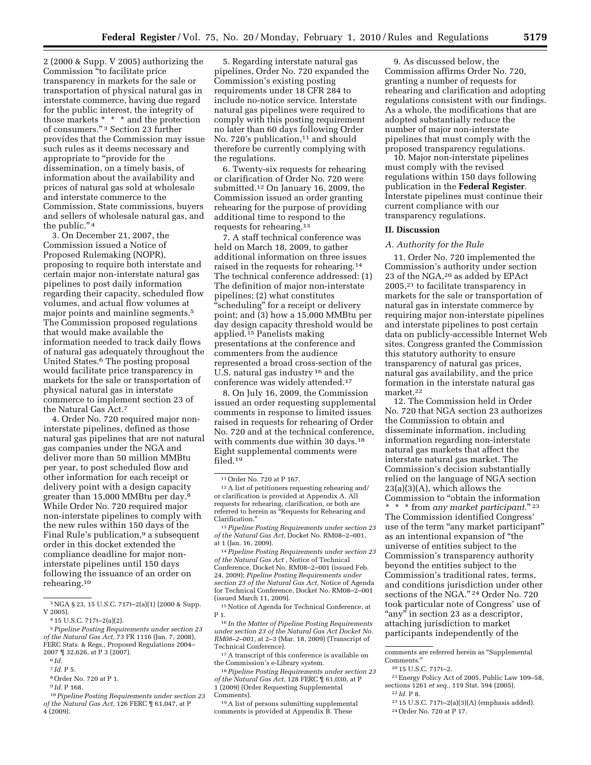2 (2000 & Supp. V 2005) authorizing the Commission ''to facilitate price transparency in markets for the sale or transportation of physical natural gas in interstate commerce, having due regard for the public interest, the integrity of those markets \* \* \* and the protection of consumers.'' 3 Section 23 further provides that the Commission may issue such rules as it deems necessary and appropriate to "provide for the dissemination, on a timely basis, of information about the availability and prices of natural gas sold at wholesale and interstate commerce to the Commission, State commissions, buyers and sellers of wholesale natural gas, and the public."<sup>4</sup>

3. On December 21, 2007, the Commission issued a Notice of Proposed Rulemaking (NOPR), proposing to require both interstate and certain major non-interstate natural gas pipelines to post daily information regarding their capacity, scheduled flow volumes, and actual flow volumes at major points and mainline segments.5 The Commission proposed regulations that would make available the information needed to track daily flows of natural gas adequately throughout the United States.6 The posting proposal would facilitate price transparency in markets for the sale or transportation of physical natural gas in interstate commerce to implement section 23 of the Natural Gas Act.7

4. Order No. 720 required major noninterstate pipelines, defined as those natural gas pipelines that are not natural gas companies under the NGA and deliver more than 50 million MMBtu per year, to post scheduled flow and other information for each receipt or delivery point with a design capacity greater than 15,000 MMBtu per day.8 While Order No. 720 required major non-interstate pipelines to comply with the new rules within 150 days of the Final Rule's publication,<sup>9</sup> a subsequent order in this docket extended the compliance deadline for major noninterstate pipelines until 150 days following the issuance of an order on rehearing.10

- 7 *Id.* P 5.
- 8Order No. 720 at P 1.
- 9 *Id.* P 168.

5. Regarding interstate natural gas pipelines, Order No. 720 expanded the Commission's existing posting requirements under 18 CFR 284 to include no-notice service. Interstate natural gas pipelines were required to comply with this posting requirement no later than 60 days following Order No. 720's publication,<sup>11</sup> and should therefore be currently complying with the regulations.

6. Twenty-six requests for rehearing or clarification of Order No. 720 were submitted.12 On January 16, 2009, the Commission issued an order granting rehearing for the purpose of providing additional time to respond to the requests for rehearing.13

7. A staff technical conference was held on March 18, 2009, to gather additional information on three issues raised in the requests for rehearing.14 The technical conference addressed: (1) The definition of major non-interstate pipelines; (2) what constitutes scheduling" for a receipt or delivery point; and (3) how a 15,000 MMBtu per day design capacity threshold would be applied.15 Panelists making presentations at the conference and commenters from the audience represented a broad cross-section of the U.S. natural gas industry 16 and the conference was widely attended.17

8. On July 16, 2009, the Commission issued an order requesting supplemental comments in response to limited issues raised in requests for rehearing of Order No. 720 and at the technical conference, with comments due within 30 days.<sup>18</sup> Eight supplemental comments were filed.19

 $^{\rm 12}\,\rm A$  list of petitioners requesting rehearing and/ or clarification is provided at Appendix A. All requests for rehearing, clarification, or both are referred to herein as ''Requests for Rehearing and Clarification.''

13*Pipeline Posting Requirements under section 23 of the Natural Gas Act,* Docket No. RM08–2–001, at 1 (Jan. 16, 2009).

14*Pipeline Posting Requirements under section 23 of the Natural Gas Act* , Notice of Technical Conference, Docket No. RM08–2–001 (issued Feb. 24, 2009); *Pipeline Posting Requirements under section 23 of the Natural Gas Act,* Notice of Agenda for Technical Conference, Docket No. RM08–2–001 (issued March 11, 2009).

15Notice of Agenda for Technical Conference, at P 1.

16 *In the Matter of Pipeline Posting Requirements under section 23 of the Natural Gas Act Docket No. RM08–2–001,* at 2–3 (Mar. 18, 2009) (Transcript of Technical Conference).

17A transcript of this conference is available on the Commission's e-Library system.

18*Pipeline Posting Requirements under section 23 of the Natural Gas Act,* 128 FERC ¶ 61,030, at P 1 (2009) (Order Requesting Supplemental Comments).

19A list of persons submitting supplemental comments is provided at Appendix B. These

9. As discussed below, the Commission affirms Order No. 720, granting a number of requests for rehearing and clarification and adopting regulations consistent with our findings. As a whole, the modifications that are adopted substantially reduce the number of major non-interstate pipelines that must comply with the proposed transparency regulations.

10. Major non-interstate pipelines must comply with the revised regulations within 150 days following publication in the **Federal Register**. Interstate pipelines must continue their current compliance with our transparency regulations.

# **II. Discussion**

#### *A. Authority for the Rule*

11. Order No. 720 implemented the Commission's authority under section 23 of the NGA,20 as added by EPAct 2005,21 to facilitate transparency in markets for the sale or transportation of natural gas in interstate commerce by requiring major non-interstate pipelines and interstate pipelines to post certain data on publicly-accessible Internet Web sites. Congress granted the Commission this statutory authority to ensure transparency of natural gas prices, natural gas availability, and the price formation in the interstate natural gas market.22

12. The Commission held in Order No. 720 that NGA section 23 authorizes the Commission to obtain and disseminate information, including information regarding non-interstate natural gas markets that affect the interstate natural gas market. The Commission's decision substantially relied on the language of NGA section 23(a)(3)(A), which allows the Commission to ''obtain the information \* \* \* from *any market participant.*'' 23 The Commission identified Congress' use of the term "any market participant" as an intentional expansion of ''the universe of entities subject to the Commission's transparency authority beyond the entities subject to the Commission's traditional rates, terms, and conditions jurisdiction under other sections of the NGA." <sup>24</sup> Order No. 720 took particular note of Congress' use of "any" in section 23 as a descriptor,

attaching jurisdiction to market participants independently of the

21Energy Policy Act of 2005, Public Law 109–58, sections 1261 *et seq.,* 119 Stat. 594 (2005). 22 *Id.* P 8.

<sup>3</sup>NGA § 23, 15 U.S.C. 717t–2(a)(1) (2000 & Supp. V 2005).

<sup>4</sup> 15 U.S.C. 717t–2(a)(2).

<sup>5</sup>*Pipeline Posting Requirements under section 23 of the Natural Gas Act,* 73 FR 1116 (Jan. 7, 2008), FERC Stats. & Regs., Proposed Regulations 2004– 2007 ¶ 32,626, at P 3 (2007).

<sup>6</sup> *Id.* 

<sup>10</sup>*Pipeline Posting Requirements under section 23 of the Natural Gas Act,* 126 FERC ¶ 61,047, at P 4 (2009).

<sup>11</sup>Order No. 720 at P 167.

comments are referred herein as ''Supplemental Comments.''

<sup>20</sup> 15 U.S.C. 717t–2.

<sup>23</sup> 15 U.S.C. 717t–2(a)(3)(A) (emphasis added). 24Order No. 720 at P 17.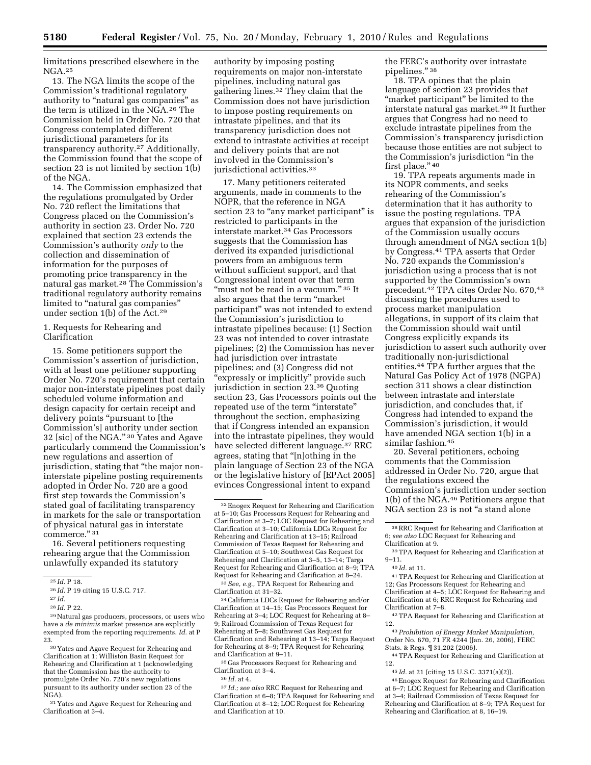limitations prescribed elsewhere in the NGA.25

13. The NGA limits the scope of the Commission's traditional regulatory authority to "natural gas companies" as the term is utilized in the NGA.26 The Commission held in Order No. 720 that Congress contemplated different jurisdictional parameters for its transparency authority.27 Additionally, the Commission found that the scope of section 23 is not limited by section 1(b) of the NGA.

14. The Commission emphasized that the regulations promulgated by Order No. 720 reflect the limitations that Congress placed on the Commission's authority in section 23. Order No. 720 explained that section 23 extends the Commission's authority *only* to the collection and dissemination of information for the purposes of promoting price transparency in the natural gas market.28 The Commission's traditional regulatory authority remains limited to "natural gas companies" under section 1(b) of the Act.29

1. Requests for Rehearing and Clarification

15. Some petitioners support the Commission's assertion of jurisdiction, with at least one petitioner supporting Order No. 720's requirement that certain major non-interstate pipelines post daily scheduled volume information and design capacity for certain receipt and delivery points "pursuant to [the Commission's] authority under section 32 [sic] of the NGA.'' 30 Yates and Agave particularly commend the Commission's new regulations and assertion of jurisdiction, stating that ''the major noninterstate pipeline posting requirements adopted in Order No. 720 are a good first step towards the Commission's stated goal of facilitating transparency in markets for the sale or transportation of physical natural gas in interstate commerce.'' 31

16. Several petitioners requesting rehearing argue that the Commission unlawfully expanded its statutory

<sup>31</sup> Yates and Agave Request for Rehearing and Clarification at 3–4.

authority by imposing posting requirements on major non-interstate pipelines, including natural gas gathering lines.32 They claim that the Commission does not have jurisdiction to impose posting requirements on intrastate pipelines, and that its transparency jurisdiction does not extend to intrastate activities at receipt and delivery points that are not involved in the Commission's jurisdictional activities.<sup>33</sup>

17. Many petitioners reiterated arguments, made in comments to the NOPR, that the reference in NGA section 23 to "any market participant" is restricted to participants in the interstate market.34 Gas Processors suggests that the Commission has derived its expanded jurisdictional powers from an ambiguous term without sufficient support, and that Congressional intent over that term "must not be read in a vacuum." 35 It also argues that the term ''market participant'' was not intended to extend the Commission's jurisdiction to intrastate pipelines because: (1) Section 23 was not intended to cover intrastate pipelines; (2) the Commission has never had jurisdiction over intrastate pipelines; and (3) Congress did not ''expressly or implicitly'' provide such jurisdiction in section 23.36 Quoting section 23, Gas Processors points out the repeated use of the term ''interstate'' throughout the section, emphasizing that if Congress intended an expansion into the intrastate pipelines, they would have selected different language.37 RRC agrees, stating that ''[n]othing in the plain language of Section 23 of the NGA or the legislative history of [EPAct 2005] evinces Congressional intent to expand

33*See, e.g.,* TPA Request for Rehearing and Clarification at 31–32.

34California LDCs Request for Rehearing and/or Clarification at 14–15; Gas Processors Request for Rehearing at 3–4; LOC Request for Rehearing at 8– 9; Railroad Commission of Texas Request for Rehearing at 5–8; Southwest Gas Request for Clarification and Rehearing at 13–14; Targa Request for Rehearing at 8–9; TPA Request for Rehearing and Clarification at 9–11.

 $^{\rm 35}\rm{Gas}$  Processors Request for Rehearing and Clarification at 3–4.

36 *Id.* at 4.

37 *Id.; see also* RRC Request for Rehearing and Clarification at 6–8; TPA Request for Rehearing and Clarification at 8–12; LOC Request for Rehearing and Clarification at 10.

the FERC's authority over intrastate pipelines." 38

18. TPA opines that the plain language of section 23 provides that "market participant" be limited to the interstate natural gas market.39 It further argues that Congress had no need to exclude intrastate pipelines from the Commission's transparency jurisdiction because those entities are not subject to the Commission's jurisdiction ''in the first place." 40

19. TPA repeats arguments made in its NOPR comments, and seeks rehearing of the Commission's determination that it has authority to issue the posting regulations. TPA argues that expansion of the jurisdiction of the Commission usually occurs through amendment of NGA section 1(b) by Congress.41 TPA asserts that Order No. 720 expands the Commission's jurisdiction using a process that is not supported by the Commission's own precedent.42 TPA cites Order No. 670,43 discussing the procedures used to process market manipulation allegations, in support of its claim that the Commission should wait until Congress explicitly expands its jurisdiction to assert such authority over traditionally non-jurisdictional entities.44 TPA further argues that the Natural Gas Policy Act of 1978 (NGPA) section 311 shows a clear distinction between intrastate and interstate jurisdiction, and concludes that, if Congress had intended to expand the Commission's jurisdiction, it would have amended NGA section 1(b) in a similar fashion.45

20. Several petitioners, echoing comments that the Commission addressed in Order No. 720, argue that the regulations exceed the Commission's jurisdiction under section 1(b) of the NGA.46 Petitioners argue that NGA section 23 is not ''a stand alone

41TPA Request for Rehearing and Clarification at 12; Gas Processors Request for Rehearing and Clarification at 4–5; LOC Request for Rehearing and Clarification at 6; RRC Request for Rehearing and Clarification at 7–8.

42TPA Request for Rehearing and Clarification at 12.

43*Prohibition of Energy Market Manipulation,*  Order No. 670, 71 FR 4244 (Jan. 26, 2006), FERC Stats. & Regs. ¶ 31,202 (2006).

44TPA Request for Rehearing and Clarification at 12.

45 *Id.* at 21 (citing 15 U.S.C. 3371(a)(2)).

46Enogex Request for Rehearing and Clarification at 6–7; LOC Request for Rehearing and Clarification at 3–4; Railroad Commission of Texas Request for Rehearing and Clarification at 8–9; TPA Request for Rehearing and Clarification at 8, 16–19.

<sup>25</sup> *Id.* P 18.

<sup>26</sup> *Id.* P 19 citing 15 U.S.C. 717.

<sup>27</sup> *Id.* 

<sup>28</sup> *Id.* P 22.

<sup>29</sup>Natural gas producers, processors, or users who have a *de minimis* market presence are explicitly exempted from the reporting requirements. *Id.* at P 23.

<sup>30</sup> Yates and Agave Request for Rehearing and Clarification at 1; Williston Basin Request for Rehearing and Clarification at 1 (acknowledging that the Commission has the authority to promulgate Order No. 720's new regulations pursuant to its authority under section 23 of the NGA).

<sup>32</sup>Enogex Request for Rehearing and Clarification at 5–10; Gas Processors Request for Rehearing and Clarification at 3–7; LOC Request for Rehearing and Clarification at 3–10; California LDCs Request for Rehearing and Clarification at 13–15; Railroad Commission of Texas Request for Rehearing and Clarification at 5–10; Southwest Gas Request for Rehearing and Clarification at 3–5, 13–14; Targa Request for Rehearing and Clarification at 8–9; TPA Request for Rehearing and Clarification at 8–24.

<sup>38</sup>RRC Request for Rehearing and Clarification at 6; *see also* LOC Request for Rehearing and

Clarification at 9. 39TPA Request for Rehearing and Clarification at 9–11.

<sup>40</sup> *Id.* at 11.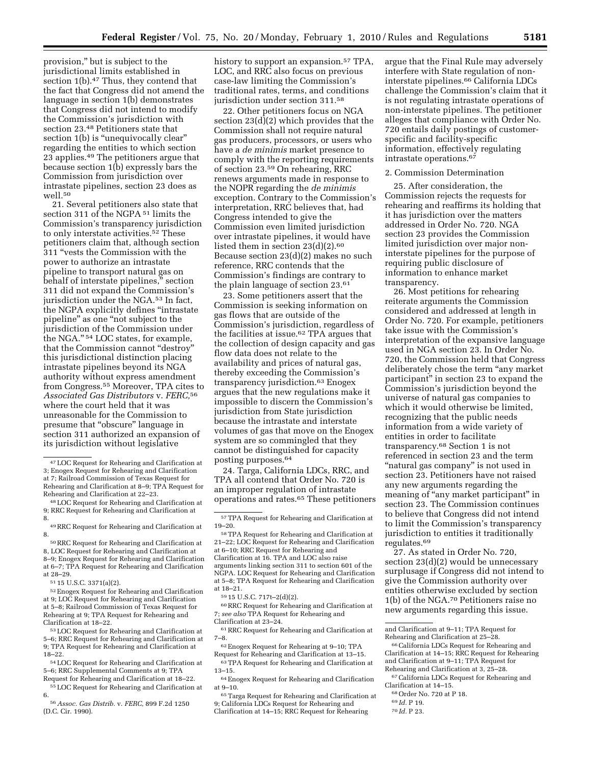provision,'' but is subject to the jurisdictional limits established in section 1(b).<sup>47</sup> Thus, they contend that the fact that Congress did not amend the language in section 1(b) demonstrates that Congress did not intend to modify the Commission's jurisdiction with section 23.48 Petitioners state that section 1(b) is "unequivocally clear" regarding the entities to which section 23 applies.49 The petitioners argue that because section 1(b) expressly bars the Commission from jurisdiction over intrastate pipelines, section 23 does as well.50

21. Several petitioners also state that section 311 of the NGPA 51 limits the Commission's transparency jurisdiction to only interstate activities.52 These petitioners claim that, although section 311 ''vests the Commission with the power to authorize an intrastate pipeline to transport natural gas on behalf of interstate pipelines,'' section 311 did not expand the Commission's jurisdiction under the NGA.53 In fact, the NGPA explicitly defines ''intrastate pipeline'' as one ''not subject to the jurisdiction of the Commission under the NGA.'' 54 LOC states, for example, that the Commission cannot ''destroy'' this jurisdictional distinction placing intrastate pipelines beyond its NGA authority without express amendment from Congress.55 Moreover, TPA cites to *Associated Gas Distributors* v. *FERC,*56 where the court held that it was unreasonable for the Commission to presume that ''obscure'' language in section 311 authorized an expansion of its jurisdiction without legislative

56*Assoc. Gas Distrib.* v. *FERC,* 899 F.2d 1250 (D.C. Cir. 1990).

history to support an expansion.<sup>57</sup> TPA, LOC, and RRC also focus on previous case-law limiting the Commission's traditional rates, terms, and conditions jurisdiction under section 311.58

22. Other petitioners focus on NGA section 23(d)(2) which provides that the Commission shall not require natural gas producers, processors, or users who have a *de minimis* market presence to comply with the reporting requirements of section 23.59 On rehearing, RRC renews arguments made in response to the NOPR regarding the *de minimis*  exception. Contrary to the Commission's interpretation, RRC believes that, had Congress intended to give the Commission even limited jurisdiction over intrastate pipelines, it would have listed them in section 23(d)(2).60 Because section 23(d)(2) makes no such reference, RRC contends that the Commission's findings are contrary to the plain language of section 23.61

23. Some petitioners assert that the Commission is seeking information on gas flows that are outside of the Commission's jurisdiction, regardless of the facilities at issue.62 TPA argues that the collection of design capacity and gas flow data does not relate to the availability and prices of natural gas, thereby exceeding the Commission's transparency jurisdiction.63 Enogex argues that the new regulations make it impossible to discern the Commission's jurisdiction from State jurisdiction because the intrastate and interstate volumes of gas that move on the Enogex system are so commingled that they cannot be distinguished for capacity posting purposes.64

24. Targa, California LDCs, RRC, and TPA all contend that Order No. 720 is an improper regulation of intrastate operations and rates.65 These petitioners

58TPA Request for Rehearing and Clarification at 21–22; LOC Request for Rehearing and Clarification at 6–10; RRC Request for Rehearing and Clarification at 16. TPA and LOC also raise arguments linking section 311 to section 601 of the NGPA. LOC Request for Rehearing and Clarification at 5–8; TPA Request for Rehearing and Clarification at 18–21.

59 15 U.S.C. 717t–2(d)(2).

60RRC Request for Rehearing and Clarification at 7; *see also* TPA Request for Rehearing and Clarification at 23–24.

61RRC Request for Rehearing and Clarification at 7–8.

62Enogex Request for Rehearing at 9–10; TPA Request for Rehearing and Clarification at 13–15.

63TPA Request for Rehearing and Clarification at 13–15.

64Enogex Request for Rehearing and Clarification at 9–10.

argue that the Final Rule may adversely interfere with State regulation of noninterstate pipelines.66 California LDCs challenge the Commission's claim that it is not regulating intrastate operations of non-interstate pipelines. The petitioner alleges that compliance with Order No. 720 entails daily postings of customerspecific and facility-specific information, effectively regulating intrastate operations.67

# 2. Commission Determination

25. After consideration, the Commission rejects the requests for rehearing and reaffirms its holding that it has jurisdiction over the matters addressed in Order No. 720. NGA section 23 provides the Commission limited jurisdiction over major noninterstate pipelines for the purpose of requiring public disclosure of information to enhance market transparency.

26. Most petitions for rehearing reiterate arguments the Commission considered and addressed at length in Order No. 720. For example, petitioners take issue with the Commission's interpretation of the expansive language used in NGA section 23. In Order No. 720, the Commission held that Congress deliberately chose the term ''any market participant'' in section 23 to expand the Commission's jurisdiction beyond the universe of natural gas companies to which it would otherwise be limited, recognizing that the public needs information from a wide variety of entities in order to facilitate transparency.68 Section 1 is not referenced in section 23 and the term "natural gas company" is not used in section 23. Petitioners have not raised any new arguments regarding the meaning of "any market participant" in section 23. The Commission continues to believe that Congress did not intend to limit the Commission's transparency jurisdiction to entities it traditionally regulates.69

27. As stated in Order No. 720, section 23(d)(2) would be unnecessary surplusage if Congress did not intend to give the Commission authority over entities otherwise excluded by section 1(b) of the NGA.70 Petitioners raise no new arguments regarding this issue.

69 *Id.* P 19.

<sup>47</sup>LOC Request for Rehearing and Clarification at 3; Enogex Request for Rehearing and Clarification at 7; Railroad Commission of Texas Request for Rehearing and Clarification at 8–9; TPA Request for Rehearing and Clarification at 22–23.

<sup>48</sup>LOC Request for Rehearing and Clarification at 9; RRC Request for Rehearing and Clarification at 8.

<sup>49</sup>RRC Request for Rehearing and Clarification at 8.

<sup>50</sup>RRC Request for Rehearing and Clarification at 8, LOC Request for Rehearing and Clarification at 8–9; Enogex Request for Rehearing and Clarification at 6–7; TPA Request for Rehearing and Clarification at 28–29.

<sup>51</sup> 15 U.S.C. 3371(a)(2).

<sup>52</sup>Enogex Request for Rehearing and Clarification at 9; LOC Request for Rehearing and Clarification at 5–8; Railroad Commission of Texas Request for Rehearing at 9; TPA Request for Rehearing and Clarification at 18–22.

<sup>53</sup>LOC Request for Rehearing and Clarification at 5–6; RRC Request for Rehearing and Clarification at 9; TPA Request for Rehearing and Clarification at 18–22.

<sup>54</sup>LOC Request for Rehearing and Clarification at 5–6; RRC Supplemental Comments at 9; TPA Request for Rehearing and Clarification at 18–22.

<sup>55</sup>LOC Request for Rehearing and Clarification at 6.

<sup>57</sup>TPA Request for Rehearing and Clarification at 19–20.

<sup>65</sup>Targa Request for Rehearing and Clarification at 9; California LDCs Request for Rehearing and Clarification at 14–15; RRC Request for Rehearing

and Clarification at 9–11; TPA Request for Rehearing and Clarification at 25–28.

<sup>66</sup>California LDCs Request for Rehearing and Clarification at 14–15; RRC Request for Rehearing and Clarification at 9–11; TPA Request for Rehearing and Clarification at 3, 25–28.

<sup>67</sup>California LDCs Request for Rehearing and Clarification at 14–15.

<sup>68</sup>Order No. 720 at P 18.

<sup>70</sup> *Id.* P 23.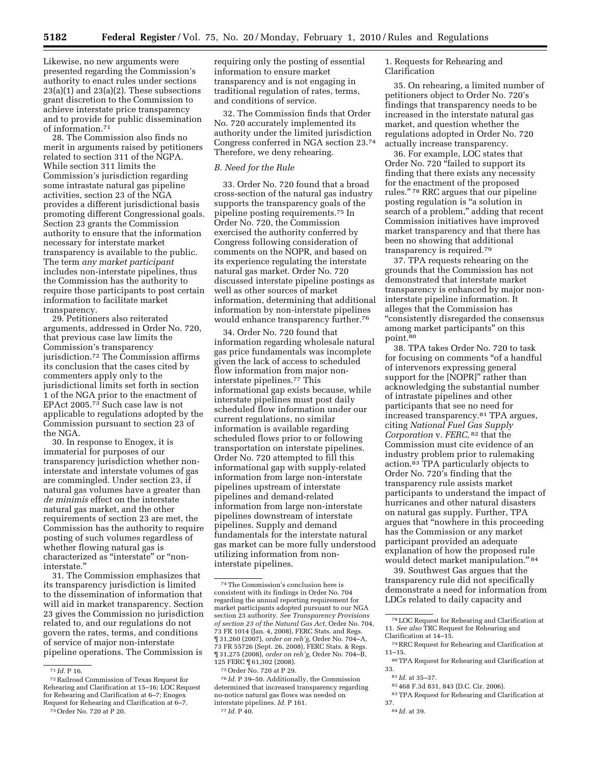Likewise, no new arguments were presented regarding the Commission's authority to enact rules under sections  $23(a)(1)$  and  $23(a)(2)$ . These subsections grant discretion to the Commission to achieve interstate price transparency and to provide for public dissemination of information.71

28. The Commission also finds no merit in arguments raised by petitioners related to section 311 of the NGPA. While section 311 limits the Commission's jurisdiction regarding some intrastate natural gas pipeline activities, section 23 of the NGA provides a different jurisdictional basis promoting different Congressional goals. Section 23 grants the Commission authority to ensure that the information necessary for interstate market transparency is available to the public. The term *any market participant*  includes non-interstate pipelines, thus the Commission has the authority to require those participants to post certain information to facilitate market transparency.

29. Petitioners also reiterated arguments, addressed in Order No. 720, that previous case law limits the Commission's transparency jurisdiction.72 The Commission affirms its conclusion that the cases cited by commenters apply only to the jurisdictional limits set forth in section 1 of the NGA prior to the enactment of EPAct 2005.73 Such case law is not applicable to regulations adopted by the Commission pursuant to section 23 of the NGA.

30. In response to Enogex, it is immaterial for purposes of our transparency jurisdiction whether noninterstate and interstate volumes of gas are commingled. Under section 23, if natural gas volumes have a greater than *de minimis* effect on the interstate natural gas market, and the other requirements of section 23 are met, the Commission has the authority to require posting of such volumes regardless of whether flowing natural gas is characterized as ''interstate'' or ''noninterstate.''

31. The Commission emphasizes that its transparency jurisdiction is limited to the dissemination of information that will aid in market transparency. Section 23 gives the Commission no jurisdiction related to, and our regulations do not govern the rates, terms, and conditions of service of major non-interstate pipeline operations. The Commission is

73Order No. 720 at P 20.

requiring only the posting of essential information to ensure market transparency and is not engaging in traditional regulation of rates, terms, and conditions of service.

32. The Commission finds that Order No. 720 accurately implemented its authority under the limited jurisdiction Congress conferred in NGA section 23.74 Therefore, we deny rehearing.

#### *B. Need for the Rule*

33. Order No. 720 found that a broad cross-section of the natural gas industry supports the transparency goals of the pipeline posting requirements.75 In Order No. 720, the Commission exercised the authority conferred by Congress following consideration of comments on the NOPR, and based on its experience regulating the interstate natural gas market. Order No. 720 discussed interstate pipeline postings as well as other sources of market information, determining that additional information by non-interstate pipelines would enhance transparency further.76

34. Order No. 720 found that information regarding wholesale natural gas price fundamentals was incomplete given the lack of access to scheduled flow information from major noninterstate pipelines.77 This informational gap exists because, while interstate pipelines must post daily scheduled flow information under our current regulations, no similar information is available regarding scheduled flows prior to or following transportation on interstate pipelines. Order No. 720 attempted to fill this informational gap with supply-related information from large non-interstate pipelines upstream of interstate pipelines and demand-related information from large non-interstate pipelines downstream of interstate pipelines. Supply and demand fundamentals for the interstate natural gas market can be more fully understood utilizing information from noninterstate pipelines.

76 *Id.* P 39–50. Additionally, the Commission determined that increased transparency regarding no-notice natural gas flows was needed on interstate pipelines. *Id.* P 161. 77 *Id.* P 40.

1. Requests for Rehearing and Clarification

35. On rehearing, a limited number of petitioners object to Order No. 720's findings that transparency needs to be increased in the interstate natural gas market, and question whether the regulations adopted in Order No. 720 actually increase transparency.

36. For example, LOC states that Order No. 720 "failed to support its finding that there exists any necessity for the enactment of the proposed rules.'' 78 RRC argues that our pipeline posting regulation is ''a solution in search of a problem," adding that recent Commission initiatives have improved market transparency and that there has been no showing that additional transparency is required.79

37. TPA requests rehearing on the grounds that the Commission has not demonstrated that interstate market transparency is enhanced by major noninterstate pipeline information. It alleges that the Commission has ''consistently disregarded the consensus among market participants'' on this point.80

38. TPA takes Order No. 720 to task for focusing on comments ''of a handful of intervenors expressing general support for the [NOPR]'' rather than acknowledging the substantial number of intrastate pipelines and other participants that see no need for increased transparency.81 TPA argues, citing *National Fuel Gas Supply Corporation* v. *FERC,* 82 that the Commission must cite evidence of an industry problem prior to rulemaking action.83 TPA particularly objects to Order No. 720's finding that the transparency rule assists market participants to understand the impact of hurricanes and other natural disasters on natural gas supply. Further, TPA argues that ''nowhere in this proceeding has the Commission or any market participant provided an adequate explanation of how the proposed rule would detect market manipulation.'' 84

39. Southwest Gas argues that the transparency rule did not specifically demonstrate a need for information from LDCs related to daily capacity and

83TPA Request for Rehearing and Clarification at 37.

84 *Id.* at 39.

<sup>71</sup> *Id.* P 16.

<sup>72</sup>Railroad Commission of Texas Request for Rehearing and Clarification at 15–16; LOC Request for Rehearing and Clarification at 6–7; Enogex Request for Rehearing and Clarification at 6–7.

 $\mathrm{^{74}The}$  Commission's conclusion here is consistent with its findings in Order No. 704 regarding the annual reporting requirement for market participants adopted pursuant to our NGA section 23 authority. *See Transparency Provisions of section 23 of the Natural Gas Act,* Order No. 704, 73 FR 1014 (Jan. 4, 2008), FERC Stats. and Regs. ¶ 31,260 (2007), *order on reh'g,* Order No. 704–A, 73 FR 55726 (Sept. 26, 2008), FERC Stats. & Regs. ¶ 31,275 (2008), *order on reh'g,* Order No. 704–B, 125 FERC ¶ 61,302 (2008).

<sup>75</sup>Order No. 720 at P 29.

<sup>78</sup>LOC Request for Rehearing and Clarification at 11. *See also* TRC Request for Rehearing and Clarification at 14–15.

<sup>79</sup>RRC Request for Rehearing and Clarification at 11–15.

<sup>80</sup>TPA Request for Rehearing and Clarification at 33.

<sup>81</sup> *Id.* at 35–37.

<sup>82</sup> 468 F.3d 831, 843 (D.C. Cir. 2006).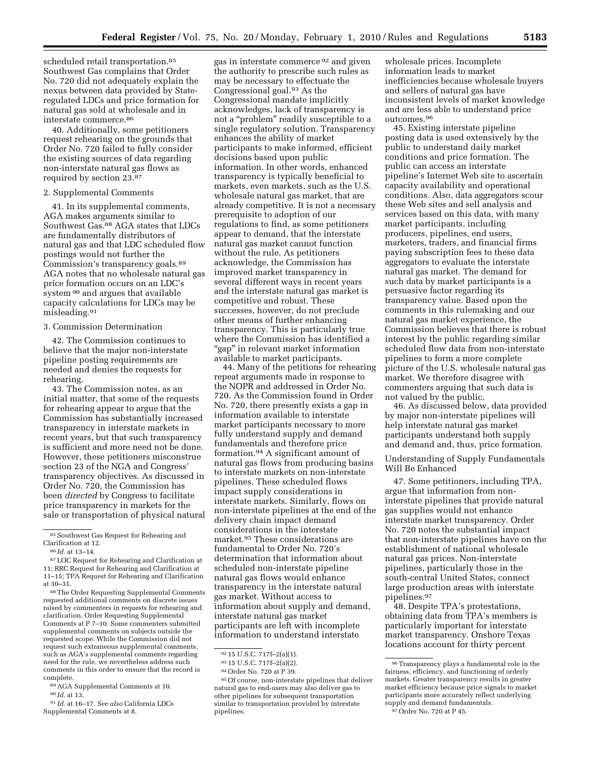scheduled retail transportation.<sup>85</sup> Southwest Gas complains that Order No. 720 did not adequately explain the nexus between data provided by Stateregulated LDCs and price formation for natural gas sold at wholesale and in interstate commerce.86

40. Additionally, some petitioners request rehearing on the grounds that Order No. 720 failed to fully consider the existing sources of data regarding non-interstate natural gas flows as required by section 23.87

#### 2. Supplemental Comments

41. In its supplemental comments, AGA makes arguments similar to Southwest Gas.<sup>88</sup> AGA states that LDCs are fundamentally distributors of natural gas and that LDC scheduled flow postings would not further the Commission's transparency goals.89 AGA notes that no wholesale natural gas price formation occurs on an LDC's system 90 and argues that available capacity calculations for LDCs may be misleading.91

#### 3. Commission Determination

42. The Commission continues to believe that the major non-interstate pipeline posting requirements are needed and denies the requests for rehearing.

43. The Commission notes, as an initial matter, that some of the requests for rehearing appear to argue that the Commission has substantially increased transparency in interstate markets in recent years, but that such transparency is sufficient and more need not be done. However, these petitioners misconstrue section 23 of the NGA and Congress' transparency objectives. As discussed in Order No. 720, the Commission has been *directed* by Congress to facilitate price transparency in markets for the sale or transportation of physical natural

90 *Id.* at 13.

gas in interstate commerce 92 and given the authority to prescribe such rules as may be necessary to effectuate the Congressional goal.93 As the Congressional mandate implicitly acknowledges, lack of transparency is not a "problem" readily susceptible to a single regulatory solution. Transparency enhances the ability of market participants to make informed, efficient decisions based upon public information. In other words, enhanced transparency is typically beneficial to markets, even markets, such as the U.S. wholesale natural gas market, that are already competitive. It is not a necessary prerequisite to adoption of our regulations to find, as some petitioners appear to demand, that the interstate natural gas market cannot function without the rule. As petitioners acknowledge, the Commission has improved market transparency in several different ways in recent years and the interstate natural gas market is competitive and robust. These successes, however, do not preclude other means of further enhancing transparency. This is particularly true where the Commission has identified a ''gap'' in relevant market information available to market participants.

44. Many of the petitions for rehearing repeat arguments made in response to the NOPR and addressed in Order No. 720. As the Commission found in Order No. 720, there presently exists a gap in information available to interstate market participants necessary to more fully understand supply and demand fundamentals and therefore price formation.94 A significant amount of natural gas flows from producing basins to interstate markets on non-interstate pipelines. These scheduled flows impact supply considerations in interstate markets. Similarly, flows on non-interstate pipelines at the end of the delivery chain impact demand considerations in the interstate market.95 These considerations are fundamental to Order No. 720's determination that information about scheduled non-interstate pipeline natural gas flows would enhance transparency in the interstate natural gas market. Without access to information about supply and demand, interstate natural gas market participants are left with incomplete information to understand interstate

wholesale prices. Incomplete information leads to market inefficiencies because wholesale buyers and sellers of natural gas have inconsistent levels of market knowledge and are less able to understand price outcomes.96

45. Existing interstate pipeline posting data is used extensively by the public to understand daily market conditions and price formation. The public can access an interstate pipeline's Internet Web site to ascertain capacity availability and operational conditions. Also, data aggregators scour these Web sites and sell analysis and services based on this data, with many market participants, including producers, pipelines, end users, marketers, traders, and financial firms paying subscription fees to these data aggregators to evaluate the interstate natural gas market. The demand for such data by market participants is a persuasive factor regarding its transparency value. Based upon the comments in this rulemaking and our natural gas market experience, the Commission believes that there is robust interest by the public regarding similar scheduled flow data from non-interstate pipelines to form a more complete picture of the U.S. wholesale natural gas market. We therefore disagree with commenters arguing that such data is not valued by the public.

46. As discussed below, data provided by major non-interstate pipelines will help interstate natural gas market participants understand both supply and demand and, thus, price formation.

Understanding of Supply Fundamentals Will Be Enhanced

47. Some petitioners, including TPA, argue that information from noninterstate pipelines that provide natural gas supplies would not enhance interstate market transparency. Order No. 720 notes the substantial impact that non-interstate pipelines have on the establishment of national wholesale natural gas prices. Non-interstate pipelines, particularly those in the south-central United States, connect large production areas with interstate pipelines.97

48. Despite TPA's protestations, obtaining data from TPA's members is particularly important for interstate market transparency. Onshore Texas locations account for thirty percent

 $^{\mathrm{85}}$  Southwest Gas Request for Rehearing and Clarification at 12.

<sup>86</sup> *Id.* at 13–14.

<sup>87</sup>LOC Request for Rehearing and Clarification at 11; RRC Request for Rehearing and Clarification at 11–15; TPA Request for Rehearing and Clarification at 30–31.

<sup>88</sup>The Order Requesting Supplemental Comments requested additional comments on discrete issues raised by commenters in requests for rehearing and clarification. Order Requesting Supplemental Comments at P 7–10. Some commenters submitted supplemental comments on subjects outside the requested scope. While the Commission did not request such extraneous supplemental comments, such as AGA's supplemental comments regarding need for the rule, we nevertheless address such comments in this order to ensure that the record is complete.

<sup>89</sup>AGA Supplemental Comments at 10.

<sup>91</sup> *Id.* at 16–17. *See also* California LDCs Supplemental Comments at 8.

<sup>92</sup> 15 U.S.C. 717f–2(a)(1).

<sup>93</sup> 15 U.S.C. 717f–2(a)(2).

<sup>94</sup>Order No. 720 at P 39.

<sup>95</sup>Of course, non-interstate pipelines that deliver natural gas to end-users may also deliver gas to other pipelines for subsequent transportation similar to transportation provided by interstate pipelines.

 $^{96}\,$  Transparency plays a fundamental role in the fairness, efficiency, and functioning of orderly markets. Greater transparency results in greater market efficiency because price signals to market participants more accurately reflect underlying supply and demand fundamentals. 97Order No. 720 at P 45.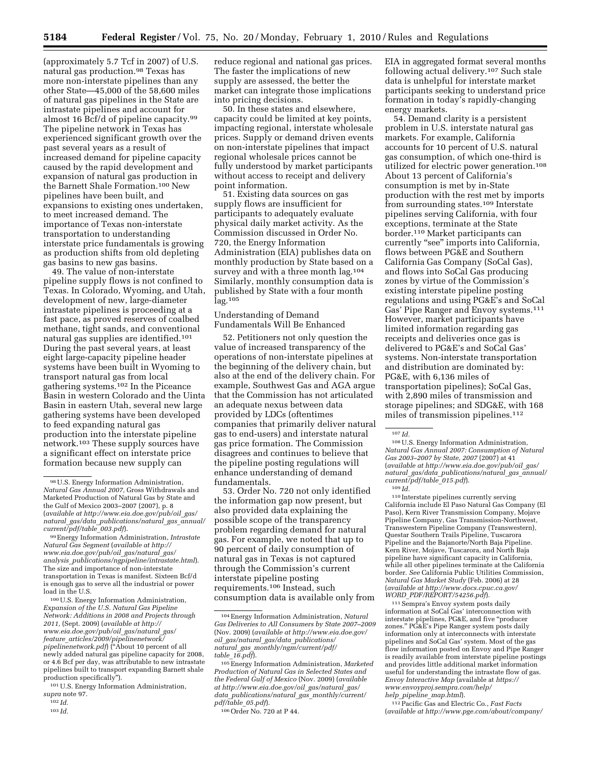(approximately 5.7 Tcf in 2007) of U.S. natural gas production.98 Texas has more non-interstate pipelines than any other State—45,000 of the 58,600 miles of natural gas pipelines in the State are intrastate pipelines and account for almost 16 Bcf/d of pipeline capacity.99 The pipeline network in Texas has experienced significant growth over the past several years as a result of increased demand for pipeline capacity caused by the rapid development and expansion of natural gas production in the Barnett Shale Formation.100 New pipelines have been built, and expansions to existing ones undertaken, to meet increased demand. The importance of Texas non-interstate transportation to understanding interstate price fundamentals is growing as production shifts from old depleting gas basins to new gas basins.

49. The value of non-interstate pipeline supply flows is not confined to Texas. In Colorado, Wyoming, and Utah, development of new, large-diameter intrastate pipelines is proceeding at a fast pace, as proved reserves of coalbed methane, tight sands, and conventional natural gas supplies are identified.101 During the past several years, at least eight large-capacity pipeline header systems have been built in Wyoming to transport natural gas from local gathering systems.102 In the Piceance Basin in western Colorado and the Uinta Basin in eastern Utah, several new large gathering systems have been developed to feed expanding natural gas production into the interstate pipeline network.103 These supply sources have a significant effect on interstate price formation because new supply can

100U.S. Energy Information Administration, *Expansion of the U.S. Natural Gas Pipeline Network: Additions in 2008 and Projects through 2011,* (Sept. 2009) (*available at http:// www.eia.doe.gov/pub/oil*\_*gas/natural*\_*gas/ feature*\_*articles/2009/pipelinenetwork/ pipelinenetwork.pdf*) (''About 10 percent of all newly added natural gas pipeline capacity for 2008, or 4.6 Bcf per day, was attributable to new intrastate pipelines built to transport expanding Barnett shale production specifically'').

101U.S. Energy Information Administration, *supra* note 97.

103 *Id.* 

reduce regional and national gas prices. The faster the implications of new supply are assessed, the better the market can integrate those implications into pricing decisions.

50. In these states and elsewhere, capacity could be limited at key points, impacting regional, interstate wholesale prices. Supply or demand driven events on non-interstate pipelines that impact regional wholesale prices cannot be fully understood by market participants without access to receipt and delivery point information.

51. Existing data sources on gas supply flows are insufficient for participants to adequately evaluate physical daily market activity. As the Commission discussed in Order No. 720, the Energy Information Administration (EIA) publishes data on monthly production by State based on a survey and with a three month lag.104 Similarly, monthly consumption data is published by State with a four month lag.105

Understanding of Demand Fundamentals Will Be Enhanced

52. Petitioners not only question the value of increased transparency of the operations of non-interstate pipelines at the beginning of the delivery chain, but also at the end of the delivery chain. For example, Southwest Gas and AGA argue that the Commission has not articulated an adequate nexus between data provided by LDCs (oftentimes companies that primarily deliver natural gas to end-users) and interstate natural gas price formation. The Commission disagrees and continues to believe that the pipeline posting regulations will enhance understanding of demand fundamentals.

53. Order No. 720 not only identified the information gap now present, but also provided data explaining the possible scope of the transparency problem regarding demand for natural gas. For example, we noted that up to 90 percent of daily consumption of natural gas in Texas is not captured through the Commission's current interstate pipeline posting requirements.106 Instead, such consumption data is available only from

106Order No. 720 at P 44.

EIA in aggregated format several months following actual delivery.107 Such stale data is unhelpful for interstate market participants seeking to understand price formation in today's rapidly-changing energy markets.

54. Demand clarity is a persistent problem in U.S. interstate natural gas markets. For example, California accounts for 10 percent of U.S. natural gas consumption, of which one-third is utilized for electric power generation.108 About 13 percent of California's consumption is met by in-State production with the rest met by imports from surrounding states.109 Interstate pipelines serving California, with four exceptions, terminate at the State border.110 Market participants can currently "see" imports into California, flows between PG&E and Southern California Gas Company (SoCal Gas), and flows into SoCal Gas producing zones by virtue of the Commission's existing interstate pipeline posting regulations and using PG&E's and SoCal Gas' Pipe Ranger and Envoy systems.111 However, market participants have limited information regarding gas receipts and deliveries once gas is delivered to PG&E's and SoCal Gas' systems. Non-interstate transportation and distribution are dominated by: PG&E, with 6,136 miles of transportation pipelines); SoCal Gas, with 2,890 miles of transmission and storage pipelines; and SDG&E, with 168 miles of transmission pipelines.112

108U.S. Energy Information Administration, *Natural Gas Annual 2007: Consumption of Natural Gas 2003–2007 by State, 2007* (2007) at 41 (*available at http://www.eia.doe.gov/pub/oil*\_*gas/ natural*\_*gas/data*\_*publications/natural*\_*gas*\_*annual/ current/pdf/table*\_*015.pdf*). 109 *Id.* 

110 Interstate pipelines currently serving California include El Paso Natural Gas Company (El Paso), Kern River Transmission Company, Mojave Pipeline Company, Gas Transmission-Northwest, Transwestern Pipeline Company (Transwestern), Questar Southern Trails Pipeline, Tuscarora Pipeline and the Bajanorte/North Baja Pipeline. Kern River, Mojave, Tuscarora, and North Baja pipeline have significant capacity in California, while all other pipelines terminate at the California border. *See* California Public Utilities Commission, *Natural Gas Market Study* (Feb. 2006) at 28 (*available at http://www.docs.cpuc.ca.gov/* 

<sup>111</sup> Sempra's Envoy system posts daily information at SoCal Gas' interconnection with interstate pipelines, PG&E, and five "producer zones.'' PG&E's Pipe Ranger system posts daily information only at interconnects with interstate pipelines and SoCal Gas' system. Most of the gas flow information posted on Envoy and Pipe Ranger is readily available from interstate pipeline postings and provides little additional market information useful for understanding the intrastate flow of gas. *Envoy Interactive Map* (available at *https:// www.envoyproj.sempra.com/help/ help*\_*pipeline*\_*map.html*).

112Pacific Gas and Electric Co., *Fast Facts*  (*available at http://www.pge.com/about/company/* 

<sup>98</sup>U.S. Energy Information Administration, *Natural Gas Annual 2007,* Gross Withdrawals and Marketed Production of Natural Gas by State and the Gulf of Mexico 2003–2007 (2007), p. 8 (*available at http://www.eia.doe.gov/pub/oil*\_*gas/ natural*\_*gas/data*\_*publications/natural*\_*gas*\_*annual/ current/pdf/table*\_*003.pdf*).

<sup>99</sup>Energy Information Administration, *Intrastate Natural Gas Segment* (*available at http:// www.eia.doe.gov/pub/oil*\_*gas/natural*\_*gas/ analysis*\_*publications/ngpipeline/intrastate.html*). The size and importance of non-interstate transportation in Texas is manifest. Sixteen Bcf/d is enough gas to serve all the industrial or power load in the U.S.

<sup>102</sup> *Id.* 

<sup>104</sup>Energy Information Administration, *Natural Gas Deliveries to All Consumers by State 2007–2009*  (Nov. 2009) (*available at http://www.eia.doe.gov/ oil*\_*gas/natural*\_*gas/data*\_*publications/ natural*\_*gas*\_*monthly/ngm/current/pdf/ table*\_*16.pdf*).

<sup>105</sup>Energy Information Administration, *Marketed Production of Natural Gas in Selected States and the Federal Gulf of Mexico* (Nov. 2009) (*available at http://www.eia.doe.gov/oil*\_*gas/natural*\_*gas/ data*\_*publications/natural*\_*gas*\_*monthly/current/ pdf/table*\_*05.pdf*).

 $107$  *Id.*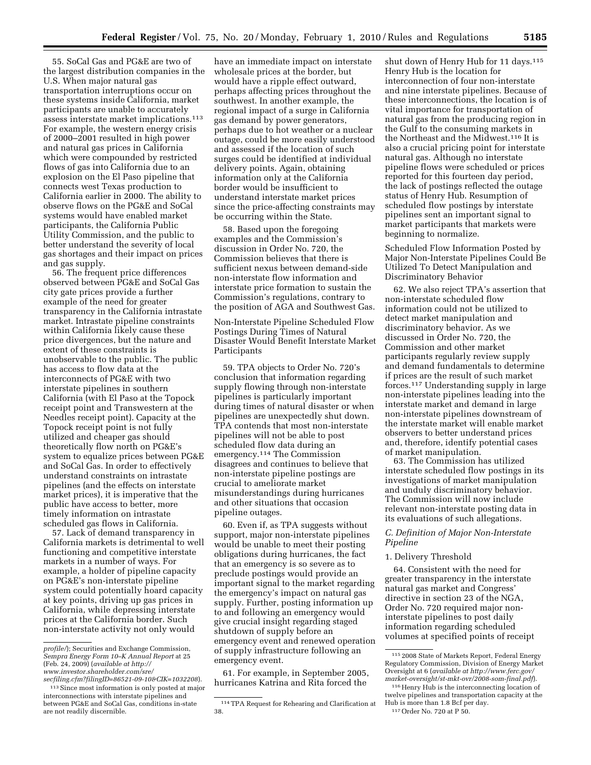55. SoCal Gas and PG&E are two of the largest distribution companies in the U.S. When major natural gas transportation interruptions occur on these systems inside California, market participants are unable to accurately assess interstate market implications.113 For example, the western energy crisis of 2000–2001 resulted in high power and natural gas prices in California which were compounded by restricted flows of gas into California due to an explosion on the El Paso pipeline that connects west Texas production to California earlier in 2000. The ability to observe flows on the PG&E and SoCal systems would have enabled market participants, the California Public Utility Commission, and the public to better understand the severity of local gas shortages and their impact on prices and gas supply.

56. The frequent price differences observed between PG&E and SoCal Gas city gate prices provide a further example of the need for greater transparency in the California intrastate market. Intrastate pipeline constraints within California likely cause these price divergences, but the nature and extent of these constraints is unobservable to the public. The public has access to flow data at the interconnects of PG&E with two interstate pipelines in southern California (with El Paso at the Topock receipt point and Transwestern at the Needles receipt point). Capacity at the Topock receipt point is not fully utilized and cheaper gas should theoretically flow north on PG&E's system to equalize prices between PG&E and SoCal Gas. In order to effectively understand constraints on intrastate pipelines (and the effects on interstate market prices), it is imperative that the public have access to better, more timely information on intrastate scheduled gas flows in California.

57. Lack of demand transparency in California markets is detrimental to well functioning and competitive interstate markets in a number of ways. For example, a holder of pipeline capacity on PG&E's non-interstate pipeline system could potentially hoard capacity at key points, driving up gas prices in California, while depressing interstate prices at the California border. Such non-interstate activity not only would

have an immediate impact on interstate wholesale prices at the border, but would have a ripple effect outward, perhaps affecting prices throughout the southwest. In another example, the regional impact of a surge in California gas demand by power generators, perhaps due to hot weather or a nuclear outage, could be more easily understood and assessed if the location of such surges could be identified at individual delivery points. Again, obtaining information only at the California border would be insufficient to understand interstate market prices since the price-affecting constraints may be occurring within the State.

58. Based upon the foregoing examples and the Commission's discussion in Order No. 720, the Commission believes that there is sufficient nexus between demand-side non-interstate flow information and interstate price formation to sustain the Commission's regulations, contrary to the position of AGA and Southwest Gas.

Non-Interstate Pipeline Scheduled Flow Postings During Times of Natural Disaster Would Benefit Interstate Market Participants

59. TPA objects to Order No. 720's conclusion that information regarding supply flowing through non-interstate pipelines is particularly important during times of natural disaster or when pipelines are unexpectedly shut down. TPA contends that most non-interstate pipelines will not be able to post scheduled flow data during an emergency.114 The Commission disagrees and continues to believe that non-interstate pipeline postings are crucial to ameliorate market misunderstandings during hurricanes and other situations that occasion pipeline outages.

60. Even if, as TPA suggests without support, major non-interstate pipelines would be unable to meet their posting obligations during hurricanes, the fact that an emergency is so severe as to preclude postings would provide an important signal to the market regarding the emergency's impact on natural gas supply. Further, posting information up to and following an emergency would give crucial insight regarding staged shutdown of supply before an emergency event and renewed operation of supply infrastructure following an emergency event.

61. For example, in September 2005, hurricanes Katrina and Rita forced the

shut down of Henry Hub for 11 days.<sup>115</sup> Henry Hub is the location for interconnection of four non-interstate and nine interstate pipelines. Because of these interconnections, the location is of vital importance for transportation of natural gas from the producing region in the Gulf to the consuming markets in the Northeast and the Midwest.116 It is also a crucial pricing point for interstate natural gas. Although no interstate pipeline flows were scheduled or prices reported for this fourteen day period, the lack of postings reflected the outage status of Henry Hub. Resumption of scheduled flow postings by interstate pipelines sent an important signal to market participants that markets were beginning to normalize.

Scheduled Flow Information Posted by Major Non-Interstate Pipelines Could Be Utilized To Detect Manipulation and Discriminatory Behavior

62. We also reject TPA's assertion that non-interstate scheduled flow information could not be utilized to detect market manipulation and discriminatory behavior. As we discussed in Order No. 720, the Commission and other market participants regularly review supply and demand fundamentals to determine if prices are the result of such market forces.117 Understanding supply in large non-interstate pipelines leading into the interstate market and demand in large non-interstate pipelines downstream of the interstate market will enable market observers to better understand prices and, therefore, identify potential cases of market manipulation.

63. The Commission has utilized interstate scheduled flow postings in its investigations of market manipulation and unduly discriminatory behavior. The Commission will now include relevant non-interstate posting data in its evaluations of such allegations.

# *C. Definition of Major Non-Interstate Pipeline*

# 1. Delivery Threshold

64. Consistent with the need for greater transparency in the interstate natural gas market and Congress' directive in section 23 of the NGA, Order No. 720 required major noninterstate pipelines to post daily information regarding scheduled volumes at specified points of receipt

*profile/*); Securities and Exchange Commission, *Sempra Energy Form 10–K Annual Report* at 25 (Feb. 24, 2009) (*available at http:// www.investor.shareholder.com/sre/* 

*secfiling.cfm?filingID=86521-09-10&CIK=1032208*). 113Since most information is only posted at major interconnections with interstate pipelines and

between PG&E and SoCal Gas, conditions in-state are not readily discernible.

<sup>114</sup>TPA Request for Rehearing and Clarification at 38.

<sup>115</sup> 2008 State of Markets Report, Federal Energy Regulatory Commission, Division of Energy Market Oversight at 6 (*available at http://www.ferc.gov/ market-oversight/st-mkt-ovr/2008-som-final.pdf*).

<sup>116</sup>Henry Hub is the interconnecting location of twelve pipelines and transportation capacity at the Hub is more than 1.8 Bcf per day.

<sup>117</sup>Order No. 720 at P 50.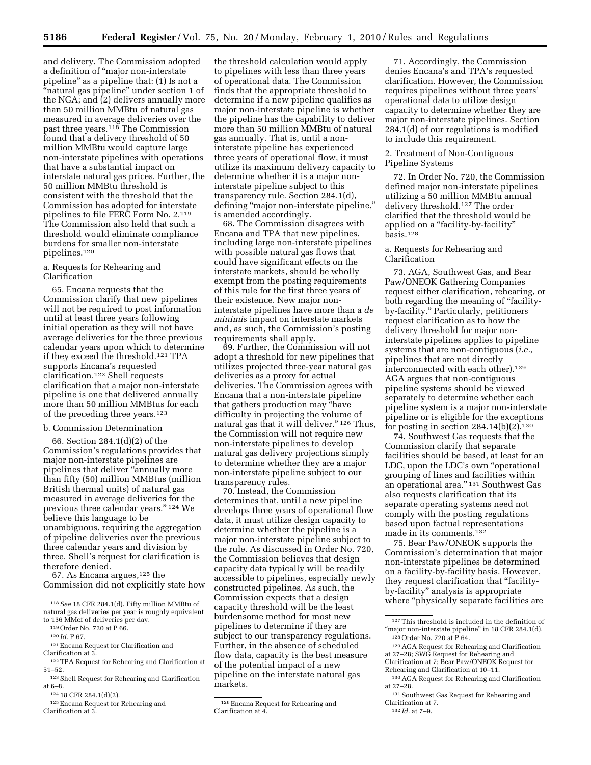and delivery. The Commission adopted a definition of ''major non-interstate pipeline'' as a pipeline that: (1) Is not a ''natural gas pipeline'' under section 1 of the NGA; and (2) delivers annually more than 50 million MMBtu of natural gas measured in average deliveries over the past three years.118 The Commission found that a delivery threshold of 50 million MMBtu would capture large non-interstate pipelines with operations that have a substantial impact on interstate natural gas prices. Further, the 50 million MMBtu threshold is consistent with the threshold that the Commission has adopted for interstate pipelines to file FERC Form No. 2.119 The Commission also held that such a threshold would eliminate compliance burdens for smaller non-interstate pipelines.120

# a. Requests for Rehearing and Clarification

65. Encana requests that the Commission clarify that new pipelines will not be required to post information until at least three years following initial operation as they will not have average deliveries for the three previous calendar years upon which to determine if they exceed the threshold.121 TPA supports Encana's requested clarification.122 Shell requests clarification that a major non-interstate pipeline is one that delivered annually more than 50 million MMBtus for each of the preceding three years.123

# b. Commission Determination

66. Section 284.1(d)(2) of the Commission's regulations provides that major non-interstate pipelines are pipelines that deliver ''annually more than fifty (50) million MMBtus (million British thermal units) of natural gas measured in average deliveries for the previous three calendar years.'' 124 We believe this language to be unambiguous, requiring the aggregation of pipeline deliveries over the previous three calendar years and division by three. Shell's request for clarification is therefore denied.

67. As Encana argues,125 the Commission did not explicitly state how

- $^{\rm 121}$  Encana Request for Clarification and Clarification at 3.
- 122TPA Request for Rehearing and Clarification at 51–52.

125Encana Request for Rehearing and Clarification at 3.

the threshold calculation would apply to pipelines with less than three years of operational data. The Commission finds that the appropriate threshold to determine if a new pipeline qualifies as major non-interstate pipeline is whether the pipeline has the capability to deliver more than 50 million MMBtu of natural gas annually. That is, until a noninterstate pipeline has experienced three years of operational flow, it must utilize its maximum delivery capacity to determine whether it is a major noninterstate pipeline subject to this transparency rule. Section 284.1(d), defining "major non-interstate pipeline," is amended accordingly.

68. The Commission disagrees with Encana and TPA that new pipelines, including large non-interstate pipelines with possible natural gas flows that could have significant effects on the interstate markets, should be wholly exempt from the posting requirements of this rule for the first three years of their existence. New major noninterstate pipelines have more than a *de minimis* impact on interstate markets and, as such, the Commission's posting requirements shall apply.

69. Further, the Commission will not adopt a threshold for new pipelines that utilizes projected three-year natural gas deliveries as a proxy for actual deliveries. The Commission agrees with Encana that a non-interstate pipeline that gathers production may ''have difficulty in projecting the volume of natural gas that it will deliver." <sup>126</sup> Thus, the Commission will not require new non-interstate pipelines to develop natural gas delivery projections simply to determine whether they are a major non-interstate pipeline subject to our transparency rules.

70. Instead, the Commission determines that, until a new pipeline develops three years of operational flow data, it must utilize design capacity to determine whether the pipeline is a major non-interstate pipeline subject to the rule. As discussed in Order No. 720, the Commission believes that design capacity data typically will be readily accessible to pipelines, especially newly constructed pipelines. As such, the Commission expects that a design capacity threshold will be the least burdensome method for most new pipelines to determine if they are subject to our transparency regulations. Further, in the absence of scheduled flow data, capacity is the best measure of the potential impact of a new pipeline on the interstate natural gas markets.

71. Accordingly, the Commission denies Encana's and TPA's requested clarification. However, the Commission requires pipelines without three years' operational data to utilize design capacity to determine whether they are major non-interstate pipelines. Section 284.1(d) of our regulations is modified to include this requirement.

# 2. Treatment of Non-Contiguous Pipeline Systems

72. In Order No. 720, the Commission defined major non-interstate pipelines utilizing a 50 million MMBtu annual delivery threshold.127 The order clarified that the threshold would be applied on a "facility-by-facility" basis.128

# a. Requests for Rehearing and Clarification

73. AGA, Southwest Gas, and Bear Paw/ONEOK Gathering Companies request either clarification, rehearing, or both regarding the meaning of "facilityby-facility.'' Particularly, petitioners request clarification as to how the delivery threshold for major noninterstate pipelines applies to pipeline systems that are non-contiguous (*i.e.,*  pipelines that are not directly interconnected with each other).<sup>129</sup> AGA argues that non-contiguous pipeline systems should be viewed separately to determine whether each pipeline system is a major non-interstate pipeline or is eligible for the exceptions for posting in section  $284.14(b)(2).$ <sup>130</sup>

74. Southwest Gas requests that the Commission clarify that separate facilities should be based, at least for an LDC, upon the LDC's own ''operational grouping of lines and facilities within an operational area."<sup>131</sup> Southwest Gas also requests clarification that its separate operating systems need not comply with the posting regulations based upon factual representations made in its comments.132

75. Bear Paw/ONEOK supports the Commission's determination that major non-interstate pipelines be determined on a facility-by-facility basis. However, they request clarification that ''facilityby-facility'' analysis is appropriate where ''physically separate facilities are

<sup>118</sup>*See* 18 CFR 284.1(d). Fifty million MMBtu of natural gas deliveries per year is roughly equivalent to 136 MMcf of deliveries per day.

<sup>119</sup>Order No. 720 at P 66.

<sup>120</sup> *Id.* P 67.

<sup>123</sup>Shell Request for Rehearing and Clarification at 6–8.

<sup>124</sup> 18 CFR 284.1(d)(2).

<sup>126</sup>Encana Request for Rehearing and Clarification at 4.

 $^{\rm 127}$  This threshold is included in the definition of "major non-interstate pipeline" in 18 CFR 284.1(d). 128Order No. 720 at P 64.

<sup>129</sup>AGA Request for Rehearing and Clarification

at 27–28; SWG Request for Rehearing and Clarification at 7; Bear Paw/ONEOK Request for Rehearing and Clarification at 10–11.

<sup>130</sup>AGA Request for Rehearing and Clarification at 27–28.

 $^{\rm 131}$  Southwest Gas Request for Rehearing and Clarification at 7.

<sup>132</sup> *Id.* at 7–9.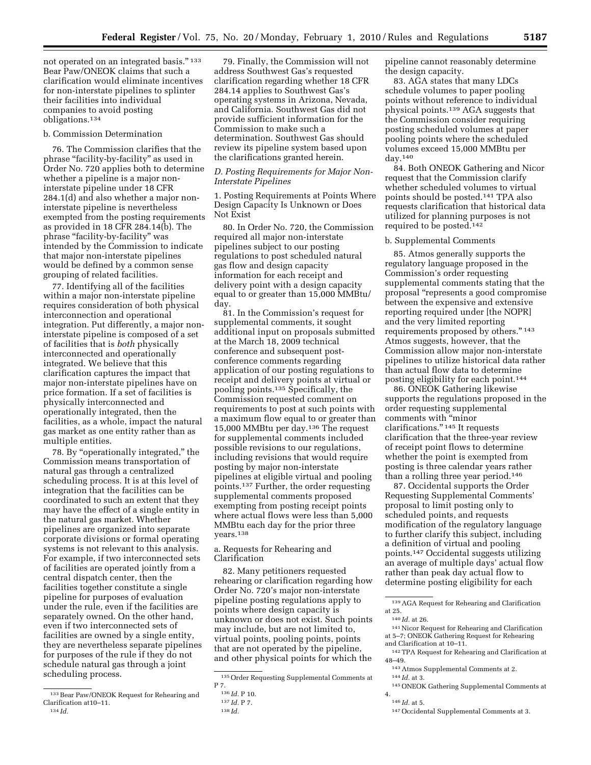not operated on an integrated basis."<sup>133</sup> Bear Paw/ONEOK claims that such a clarification would eliminate incentives for non-interstate pipelines to splinter their facilities into individual companies to avoid posting obligations.134

#### b. Commission Determination

76. The Commission clarifies that the phrase "facility-by-facility" as used in Order No. 720 applies both to determine whether a pipeline is a major noninterstate pipeline under 18 CFR 284.1(d) and also whether a major noninterstate pipeline is nevertheless exempted from the posting requirements as provided in 18 CFR 284.14(b). The phrase ''facility-by-facility'' was intended by the Commission to indicate that major non-interstate pipelines would be defined by a common sense grouping of related facilities.

77. Identifying all of the facilities within a major non-interstate pipeline requires consideration of both physical interconnection and operational integration. Put differently, a major noninterstate pipeline is composed of a set of facilities that is *both* physically interconnected and operationally integrated. We believe that this clarification captures the impact that major non-interstate pipelines have on price formation. If a set of facilities is physically interconnected and operationally integrated, then the facilities, as a whole, impact the natural gas market as one entity rather than as multiple entities.

78. By ''operationally integrated,'' the Commission means transportation of natural gas through a centralized scheduling process. It is at this level of integration that the facilities can be coordinated to such an extent that they may have the effect of a single entity in the natural gas market. Whether pipelines are organized into separate corporate divisions or formal operating systems is not relevant to this analysis. For example, if two interconnected sets of facilities are operated jointly from a central dispatch center, then the facilities together constitute a single pipeline for purposes of evaluation under the rule, even if the facilities are separately owned. On the other hand, even if two interconnected sets of facilities are owned by a single entity, they are nevertheless separate pipelines for purposes of the rule if they do not schedule natural gas through a joint scheduling process.

79. Finally, the Commission will not address Southwest Gas's requested clarification regarding whether 18 CFR 284.14 applies to Southwest Gas's operating systems in Arizona, Nevada, and California. Southwest Gas did not provide sufficient information for the Commission to make such a determination. Southwest Gas should review its pipeline system based upon the clarifications granted herein.

## *D. Posting Requirements for Major Non-Interstate Pipelines*

1. Posting Requirements at Points Where Design Capacity Is Unknown or Does Not Exist

80. In Order No. 720, the Commission required all major non-interstate pipelines subject to our posting regulations to post scheduled natural gas flow and design capacity information for each receipt and delivery point with a design capacity equal to or greater than 15,000 MMBtu/ day.

81. In the Commission's request for supplemental comments, it sought additional input on proposals submitted at the March 18, 2009 technical conference and subsequent postconference comments regarding application of our posting regulations to receipt and delivery points at virtual or pooling points.135 Specifically, the Commission requested comment on requirements to post at such points with a maximum flow equal to or greater than 15,000 MMBtu per day.136 The request for supplemental comments included possible revisions to our regulations, including revisions that would require posting by major non-interstate pipelines at eligible virtual and pooling points.137 Further, the order requesting supplemental comments proposed exempting from posting receipt points where actual flows were less than 5,000 MMBtu each day for the prior three years.138

a. Requests for Rehearing and Clarification

82. Many petitioners requested rehearing or clarification regarding how Order No. 720's major non-interstate pipeline posting regulations apply to points where design capacity is unknown or does not exist. Such points may include, but are not limited to, virtual points, pooling points, points that are not operated by the pipeline, and other physical points for which the

pipeline cannot reasonably determine the design capacity.

83. AGA states that many LDCs schedule volumes to paper pooling points without reference to individual physical points.139 AGA suggests that the Commission consider requiring posting scheduled volumes at paper pooling points where the scheduled volumes exceed 15,000 MMBtu per day.140

84. Both ONEOK Gathering and Nicor request that the Commission clarify whether scheduled volumes to virtual points should be posted.141 TPA also requests clarification that historical data utilized for planning purposes is not required to be posted.142

#### b. Supplemental Comments

85. Atmos generally supports the regulatory language proposed in the Commission's order requesting supplemental comments stating that the proposal ''represents a good compromise between the expensive and extensive reporting required under [the NOPR] and the very limited reporting requirements proposed by others.'' 143 Atmos suggests, however, that the Commission allow major non-interstate pipelines to utilize historical data rather than actual flow data to determine posting eligibility for each point.144

86. ONEOK Gathering likewise supports the regulations proposed in the order requesting supplemental comments with ''minor clarifications.'' 145 It requests clarification that the three-year review of receipt point flows to determine whether the point is exempted from posting is three calendar years rather than a rolling three year period.<sup>146</sup>

87. Occidental supports the Order Requesting Supplemental Comments' proposal to limit posting only to scheduled points, and requests modification of the regulatory language to further clarify this subject, including a definition of virtual and pooling points.147 Occidental suggests utilizing an average of multiple days' actual flow rather than peak day actual flow to determine posting eligibility for each

141Nicor Request for Rehearing and Clarification at 5–7; ONEOK Gathering Request for Rehearing and Clarification at 10–11.

<sup>133</sup>Bear Paw/ONEOK Request for Rehearing and Clarification at10–11. 134 *Id.* 

<sup>135</sup>Order Requesting Supplemental Comments at P 7.

<sup>136</sup> *Id.* P 10.

<sup>137</sup> *Id.* P 7.

<sup>138</sup> *Id.* 

<sup>139</sup>AGA Request for Rehearing and Clarification at 25.

<sup>140</sup> *Id.* at 26.

<sup>142</sup>TPA Request for Rehearing and Clarification at 48–49.

<sup>143</sup>Atmos Supplemental Comments at 2.

<sup>144</sup> *Id.* at 3.

<sup>145</sup>ONEOK Gathering Supplemental Comments at 4.

<sup>146</sup> *Id.* at 5.

<sup>147</sup>Occidental Supplemental Comments at 3.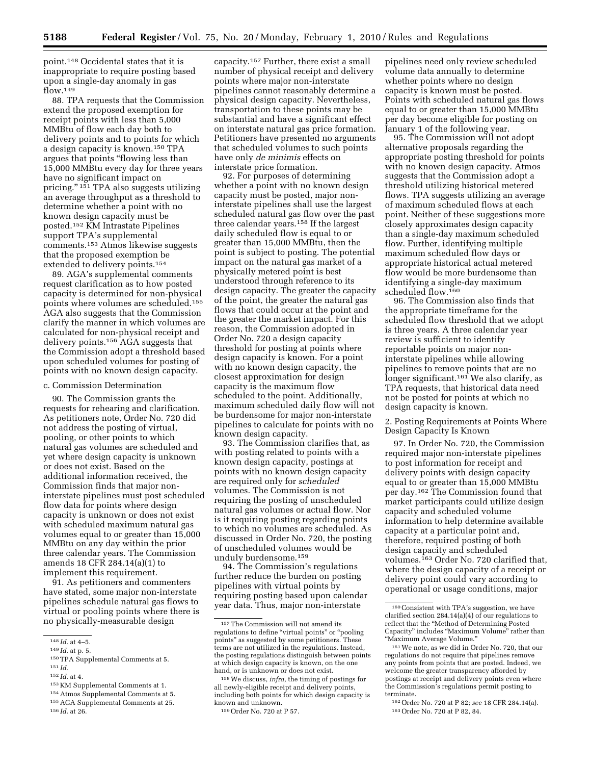point.148 Occidental states that it is inappropriate to require posting based upon a single-day anomaly in gas flow.<sup>149</sup>

88. TPA requests that the Commission extend the proposed exemption for receipt points with less than 5,000 MMBtu of flow each day both to delivery points and to points for which a design capacity is known.150 TPA argues that points ''flowing less than 15,000 MMBtu every day for three years have no significant impact on pricing.'' 151 TPA also suggests utilizing an average throughput as a threshold to determine whether a point with no known design capacity must be posted.152 KM Intrastate Pipelines support TPA's supplemental comments.153 Atmos likewise suggests that the proposed exemption be extended to delivery points.154

89. AGA's supplemental comments request clarification as to how posted capacity is determined for non-physical points where volumes are scheduled.155 AGA also suggests that the Commission clarify the manner in which volumes are calculated for non-physical receipt and delivery points.156 AGA suggests that the Commission adopt a threshold based upon scheduled volumes for posting of points with no known design capacity.

#### c. Commission Determination

90. The Commission grants the requests for rehearing and clarification. As petitioners note, Order No. 720 did not address the posting of virtual, pooling, or other points to which natural gas volumes are scheduled and yet where design capacity is unknown or does not exist. Based on the additional information received, the Commission finds that major noninterstate pipelines must post scheduled flow data for points where design capacity is unknown or does not exist with scheduled maximum natural gas volumes equal to or greater than 15,000 MMBtu on any day within the prior three calendar years. The Commission amends 18 CFR 284.14(a)(1) to implement this requirement.

91. As petitioners and commenters have stated, some major non-interstate pipelines schedule natural gas flows to virtual or pooling points where there is no physically-measurable design

151 *Id.* 

153 KM Supplemental Comments at 1. 154Atmos Supplemental Comments at 5.

capacity.157 Further, there exist a small number of physical receipt and delivery points where major non-interstate pipelines cannot reasonably determine a physical design capacity. Nevertheless, transportation to these points may be substantial and have a significant effect on interstate natural gas price formation. Petitioners have presented no arguments that scheduled volumes to such points have only *de minimis* effects on interstate price formation.

92. For purposes of determining whether a point with no known design capacity must be posted, major noninterstate pipelines shall use the largest scheduled natural gas flow over the past three calendar years.158 If the largest daily scheduled flow is equal to or greater than 15,000 MMBtu, then the point is subject to posting. The potential impact on the natural gas market of a physically metered point is best understood through reference to its design capacity. The greater the capacity of the point, the greater the natural gas flows that could occur at the point and the greater the market impact. For this reason, the Commission adopted in Order No. 720 a design capacity threshold for posting at points where design capacity is known. For a point with no known design capacity, the closest approximation for design capacity is the maximum flow scheduled to the point. Additionally, maximum scheduled daily flow will not be burdensome for major non-interstate pipelines to calculate for points with no known design capacity.

93. The Commission clarifies that, as with posting related to points with a known design capacity, postings at points with no known design capacity are required only for *scheduled*  volumes. The Commission is not requiring the posting of unscheduled natural gas volumes or actual flow. Nor is it requiring posting regarding points to which no volumes are scheduled. As discussed in Order No. 720, the posting of unscheduled volumes would be unduly burdensome.159

94. The Commission's regulations further reduce the burden on posting pipelines with virtual points by requiring posting based upon calendar year data. Thus, major non-interstate

pipelines need only review scheduled volume data annually to determine whether points where no design capacity is known must be posted. Points with scheduled natural gas flows equal to or greater than 15,000 MMBtu per day become eligible for posting on January 1 of the following year.

95. The Commission will not adopt alternative proposals regarding the appropriate posting threshold for points with no known design capacity. Atmos suggests that the Commission adopt a threshold utilizing historical metered flows. TPA suggests utilizing an average of maximum scheduled flows at each point. Neither of these suggestions more closely approximates design capacity than a single-day maximum scheduled flow. Further, identifying multiple maximum scheduled flow days or appropriate historical actual metered flow would be more burdensome than identifying a single-day maximum scheduled flow.160

96. The Commission also finds that the appropriate timeframe for the scheduled flow threshold that we adopt is three years. A three calendar year review is sufficient to identify reportable points on major noninterstate pipelines while allowing pipelines to remove points that are no longer significant.<sup>161</sup> We also clarify, as TPA requests, that historical data need not be posted for points at which no design capacity is known.

2. Posting Requirements at Points Where Design Capacity Is Known

97. In Order No. 720, the Commission required major non-interstate pipelines to post information for receipt and delivery points with design capacity equal to or greater than 15,000 MMBtu per day.162 The Commission found that market participants could utilize design capacity and scheduled volume information to help determine available capacity at a particular point and, therefore, required posting of both design capacity and scheduled volumes.163 Order No. 720 clarified that, where the design capacity of a receipt or delivery point could vary according to operational or usage conditions, major

<sup>148</sup> *Id.* at 4–5.

<sup>149</sup> *Id.* at p. 5.

<sup>150</sup>TPA Supplemental Comments at 5.

<sup>152</sup> *Id.* at 4.

<sup>155</sup>AGA Supplemental Comments at 25.

<sup>156</sup> *Id.* at 26.

<sup>157</sup>The Commission will not amend its regulations to define "virtual points" or "pooling points'' as suggested by some petitioners. These terms are not utilized in the regulations. Instead, the posting regulations distinguish between points at which design capacity is known, on the one hand, or is unknown or does not exist.

<sup>158</sup>We discuss, *infra,* the timing of postings for all newly-eligible receipt and delivery points, including both points for which design capacity is known and unknown.

<sup>159</sup>Order No. 720 at P 57.

<sup>160</sup>Consistent with TPA's suggestion, we have clarified section 284.14(a)(4) of our regulations to reflect that the ''Method of Determining Posted Capacity'' includes ''Maximum Volume'' rather than ''Maximum Average Volume.''

<sup>161</sup>We note, as we did in Order No. 720, that our regulations do not require that pipelines remove any points from points that are posted. Indeed, we welcome the greater transparency afforded by postings at receipt and delivery points even where the Commission's regulations permit posting to terminate.

<sup>162</sup>Order No. 720 at P 82; *see* 18 CFR 284.14(a). 163Order No. 720 at P 82, 84.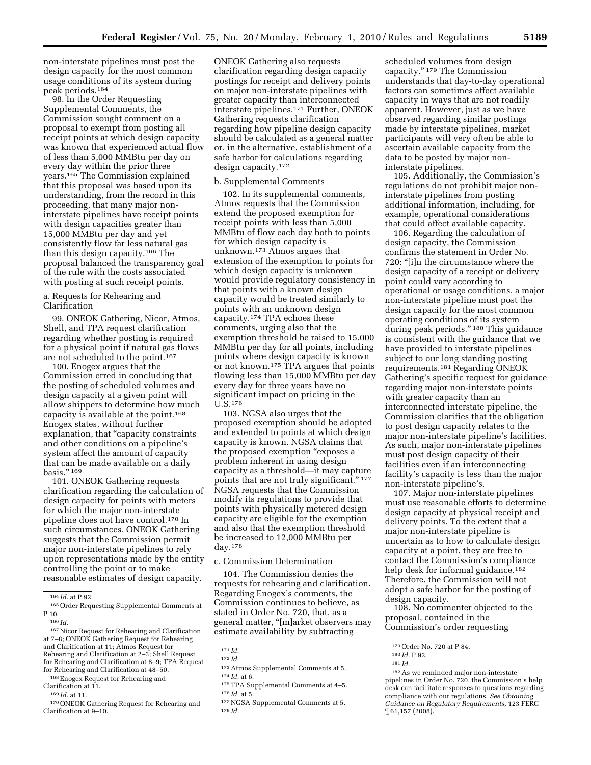non-interstate pipelines must post the design capacity for the most common usage conditions of its system during peak periods.164

98. In the Order Requesting Supplemental Comments, the Commission sought comment on a proposal to exempt from posting all receipt points at which design capacity was known that experienced actual flow of less than 5,000 MMBtu per day on every day within the prior three years.165 The Commission explained that this proposal was based upon its understanding, from the record in this proceeding, that many major noninterstate pipelines have receipt points with design capacities greater than 15,000 MMBtu per day and yet consistently flow far less natural gas than this design capacity.166 The proposal balanced the transparency goal of the rule with the costs associated with posting at such receipt points.

a. Requests for Rehearing and Clarification

99. ONEOK Gathering, Nicor, Atmos, Shell, and TPA request clarification regarding whether posting is required for a physical point if natural gas flows are not scheduled to the point.167

100. Enogex argues that the Commission erred in concluding that the posting of scheduled volumes and design capacity at a given point will allow shippers to determine how much capacity is available at the point.168 Enogex states, without further explanation, that "capacity constraints and other conditions on a pipeline's system affect the amount of capacity that can be made available on a daily basis.'' 169

101. ONEOK Gathering requests clarification regarding the calculation of design capacity for points with meters for which the major non-interstate pipeline does not have control.170 In such circumstances, ONEOK Gathering suggests that the Commission permit major non-interstate pipelines to rely upon representations made by the entity controlling the point or to make reasonable estimates of design capacity.

167Nicor Request for Rehearing and Clarification at 7–8; ONEOK Gathering Request for Rehearing and Clarification at 11; Atmos Request for Rehearing and Clarification at 2–3; Shell Request for Rehearing and Clarification at 8–9; TPA Request for Rehearing and Clarification at 48–50.

Clarification at 11.

169 *Id.* at 11.

170ONEOK Gathering Request for Rehearing and Clarification at 9–10.

ONEOK Gathering also requests clarification regarding design capacity postings for receipt and delivery points on major non-interstate pipelines with greater capacity than interconnected interstate pipelines.171 Further, ONEOK Gathering requests clarification regarding how pipeline design capacity should be calculated as a general matter or, in the alternative, establishment of a safe harbor for calculations regarding design capacity.172

# b. Supplemental Comments

102. In its supplemental comments, Atmos requests that the Commission extend the proposed exemption for receipt points with less than 5,000 MMBtu of flow each day both to points for which design capacity is unknown.173 Atmos argues that extension of the exemption to points for which design capacity is unknown would provide regulatory consistency in that points with a known design capacity would be treated similarly to points with an unknown design capacity.174 TPA echoes these comments, urging also that the exemption threshold be raised to 15,000 MMBtu per day for all points, including points where design capacity is known or not known.<sup>175</sup> TPA argues that points flowing less than 15,000 MMBtu per day every day for three years have no significant impact on pricing in the U.S.176

103. NGSA also urges that the proposed exemption should be adopted and extended to points at which design capacity is known. NGSA claims that the proposed exemption "exposes a problem inherent in using design capacity as a threshold—it may capture points that are not truly significant.'' 177 NGSA requests that the Commission modify its regulations to provide that points with physically metered design capacity are eligible for the exemption and also that the exemption threshold be increased to 12,000 MMBtu per day.178

c. Commission Determination

104. The Commission denies the requests for rehearing and clarification. Regarding Enogex's comments, the Commission continues to believe, as stated in Order No. 720, that, as a general matter, ''[m]arket observers may estimate availability by subtracting

scheduled volumes from design capacity.'' 179 The Commission understands that day-to-day operational factors can sometimes affect available capacity in ways that are not readily apparent. However, just as we have observed regarding similar postings made by interstate pipelines, market participants will very often be able to ascertain available capacity from the data to be posted by major noninterstate pipelines.

105. Additionally, the Commission's regulations do not prohibit major noninterstate pipelines from posting additional information, including, for example, operational considerations that could affect available capacity.

106. Regarding the calculation of design capacity, the Commission confirms the statement in Order No. 720: ''[i]n the circumstance where the design capacity of a receipt or delivery point could vary according to operational or usage conditions, a major non-interstate pipeline must post the design capacity for the most common operating conditions of its system during peak periods."<sup>180</sup> This guidance is consistent with the guidance that we have provided to interstate pipelines subject to our long standing posting requirements.181 Regarding ONEOK Gathering's specific request for guidance regarding major non-interstate points with greater capacity than an interconnected interstate pipeline, the Commission clarifies that the obligation to post design capacity relates to the major non-interstate pipeline's facilities. As such, major non-interstate pipelines must post design capacity of their facilities even if an interconnecting facility's capacity is less than the major non-interstate pipeline's.

107. Major non-interstate pipelines must use reasonable efforts to determine design capacity at physical receipt and delivery points. To the extent that a major non-interstate pipeline is uncertain as to how to calculate design capacity at a point, they are free to contact the Commission's compliance help desk for informal guidance.<sup>182</sup> Therefore, the Commission will not adopt a safe harbor for the posting of design capacity.

108. No commenter objected to the proposal, contained in the Commission's order requesting

<sup>164</sup> *Id.* at P 92.

<sup>165</sup>Order Requesting Supplemental Comments at P 10.

<sup>166</sup> *Id.* 

<sup>168</sup>Enogex Request for Rehearing and

<sup>171</sup> *Id.* 

<sup>172</sup> *Id.* 

<sup>173</sup>Atmos Supplemental Comments at 5. 174 *Id.* at 6.

<sup>175</sup>TPA Supplemental Comments at 4–5. 176 *Id.* at 5.

<sup>177</sup>NGSA Supplemental Comments at 5. 178 *Id.* 

<sup>179</sup>Order No. 720 at P 84.

<sup>180</sup> *Id.* P 92.

<sup>181</sup> *Id.* 

<sup>182</sup>As we reminded major non-interstate pipelines in Order No. 720, the Commission's help desk can facilitate responses to questions regarding compliance with our regulations. *See Obtaining Guidance on Regulatory Requirements,* 123 FERC ¶ 61,157 (2008).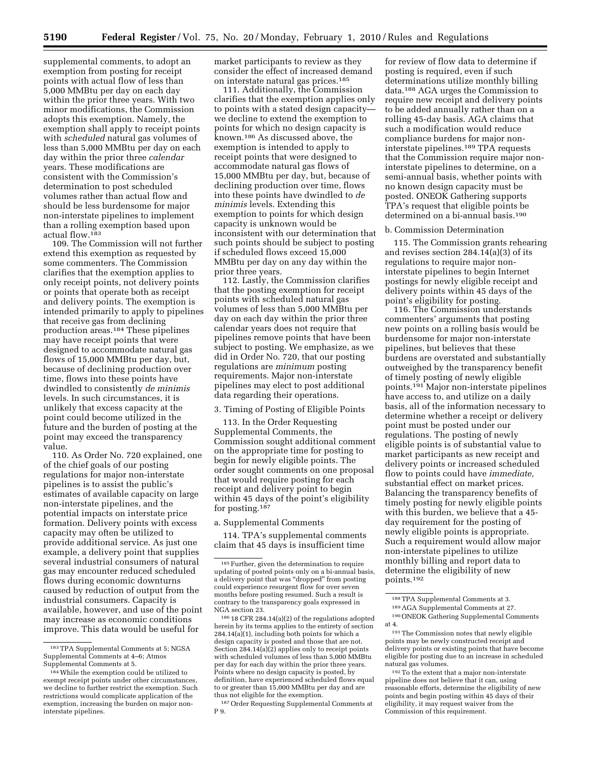supplemental comments, to adopt an exemption from posting for receipt points with actual flow of less than 5,000 MMBtu per day on each day within the prior three years. With two minor modifications, the Commission adopts this exemption. Namely, the exemption shall apply to receipt points with *scheduled* natural gas volumes of less than 5,000 MMBtu per day on each day within the prior three *calendar*  years. These modifications are consistent with the Commission's determination to post scheduled volumes rather than actual flow and should be less burdensome for major non-interstate pipelines to implement than a rolling exemption based upon actual flow.183

109. The Commission will not further extend this exemption as requested by some commenters. The Commission clarifies that the exemption applies to only receipt points, not delivery points or points that operate both as receipt and delivery points. The exemption is intended primarily to apply to pipelines that receive gas from declining production areas.184 These pipelines may have receipt points that were designed to accommodate natural gas flows of 15,000 MMBtu per day, but, because of declining production over time, flows into these points have dwindled to consistently *de minimis*  levels. In such circumstances, it is unlikely that excess capacity at the point could become utilized in the future and the burden of posting at the point may exceed the transparency value.

110. As Order No. 720 explained, one of the chief goals of our posting regulations for major non-interstate pipelines is to assist the public's estimates of available capacity on large non-interstate pipelines, and the potential impacts on interstate price formation. Delivery points with excess capacity may often be utilized to provide additional service. As just one example, a delivery point that supplies several industrial consumers of natural gas may encounter reduced scheduled flows during economic downturns caused by reduction of output from the industrial consumers. Capacity is available, however, and use of the point may increase as economic conditions improve. This data would be useful for

market participants to review as they consider the effect of increased demand on interstate natural gas prices.185

111. Additionally, the Commission clarifies that the exemption applies only to points with a stated design capacity we decline to extend the exemption to points for which no design capacity is known.186 As discussed above, the exemption is intended to apply to receipt points that were designed to accommodate natural gas flows of 15,000 MMBtu per day, but, because of declining production over time, flows into these points have dwindled to *de minimis* levels. Extending this exemption to points for which design capacity is unknown would be inconsistent with our determination that such points should be subject to posting if scheduled flows exceed 15,000 MMBtu per day on any day within the prior three years.

112. Lastly, the Commission clarifies that the posting exemption for receipt points with scheduled natural gas volumes of less than 5,000 MMBtu per day on each day within the prior three calendar years does not require that pipelines remove points that have been subject to posting. We emphasize, as we did in Order No. 720, that our posting regulations are *minimum* posting requirements. Major non-interstate pipelines may elect to post additional data regarding their operations.

#### 3. Timing of Posting of Eligible Points

113. In the Order Requesting Supplemental Comments, the Commission sought additional comment on the appropriate time for posting to begin for newly eligible points. The order sought comments on one proposal that would require posting for each receipt and delivery point to begin within 45 days of the point's eligibility for posting.<sup>187</sup>

## a. Supplemental Comments

114. TPA's supplemental comments claim that 45 days is insufficient time

186 18 CFR 284.14(a)(2) of the regulations adopted herein by its terms applies to the entirety of section 284.14(a)(1), including both points for which a design capacity is posted and those that are not. Section 284.14(a)(2) applies only to receipt points with scheduled volumes of less than 5,000 MMBtu per day for each day within the prior three years. Points where no design capacity is posted, by definition, have experienced scheduled flows equal to or greater than 15,000 MMBtu per day and are thus not eligible for the exemption.

187Order Requesting Supplemental Comments at P 9.

for review of flow data to determine if posting is required, even if such determinations utilize monthly billing data.188 AGA urges the Commission to require new receipt and delivery points to be added annually rather than on a rolling 45-day basis. AGA claims that such a modification would reduce compliance burdens for major noninterstate pipelines.189 TPA requests that the Commission require major noninterstate pipelines to determine, on a semi-annual basis, whether points with no known design capacity must be posted. ONEOK Gathering supports TPA's request that eligible points be determined on a bi-annual basis.190

#### b. Commission Determination

115. The Commission grants rehearing and revises section 284.14(a)(3) of its regulations to require major noninterstate pipelines to begin Internet postings for newly eligible receipt and delivery points within 45 days of the point's eligibility for posting.

116. The Commission understands commenters' arguments that posting new points on a rolling basis would be burdensome for major non-interstate pipelines, but believes that these burdens are overstated and substantially outweighed by the transparency benefit of timely posting of newly eligible points.191 Major non-interstate pipelines have access to, and utilize on a daily basis, all of the information necessary to determine whether a receipt or delivery point must be posted under our regulations. The posting of newly eligible points is of substantial value to market participants as new receipt and delivery points or increased scheduled flow to points could have *immediate,*  substantial effect on market prices. Balancing the transparency benefits of timely posting for newly eligible points with this burden, we believe that a 45 day requirement for the posting of newly eligible points is appropriate. Such a requirement would allow major non-interstate pipelines to utilize monthly billing and report data to determine the eligibility of new points.192

191The Commission notes that newly eligible points may be newly constructed receipt and delivery points or existing points that have become eligible for posting due to an increase in scheduled natural gas volumes.

192To the extent that a major non-interstate pipeline does not believe that it can, using reasonable efforts, determine the eligibility of new points and begin posting within 45 days of their eligibility, it may request waiver from the Commission of this requirement.

<sup>183</sup>TPA Supplemental Comments at 5; NGSA Supplemental Comments at 4–6; Atmos Supplemental Comments at 5.

<sup>184</sup>While the exemption could be utilized to exempt receipt points under other circumstances, we decline to further restrict the exemption. Such restrictions would complicate application of the exemption, increasing the burden on major noninterstate pipelines.

<sup>185</sup>Further, given the determination to require updating of posted points only on a bi-annual basis, a delivery point that was ''dropped'' from posting could experience resurgent flow for over seven months before posting resumed. Such a result is contrary to the transparency goals expressed in NGA section 23.

<sup>188</sup>TPA Supplemental Comments at 3.

<sup>189</sup>AGA Supplemental Comments at 27.

<sup>190</sup>ONEOK Gathering Supplemental Comments at 4.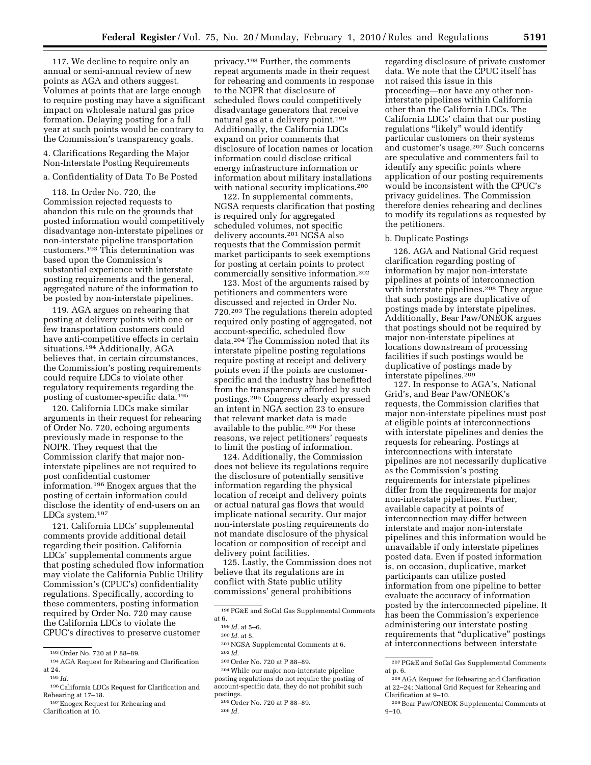117. We decline to require only an annual or semi-annual review of new points as AGA and others suggest. Volumes at points that are large enough to require posting may have a significant impact on wholesale natural gas price formation. Delaying posting for a full year at such points would be contrary to the Commission's transparency goals.

4. Clarifications Regarding the Major Non-Interstate Posting Requirements

# a. Confidentiality of Data To Be Posted

118. In Order No. 720, the Commission rejected requests to abandon this rule on the grounds that posted information would competitively disadvantage non-interstate pipelines or non-interstate pipeline transportation customers.193 This determination was based upon the Commission's substantial experience with interstate posting requirements and the general, aggregated nature of the information to be posted by non-interstate pipelines.

119. AGA argues on rehearing that posting at delivery points with one or few transportation customers could have anti-competitive effects in certain situations.194 Additionally, AGA believes that, in certain circumstances, the Commission's posting requirements could require LDCs to violate other regulatory requirements regarding the posting of customer-specific data.195

120. California LDCs make similar arguments in their request for rehearing of Order No. 720, echoing arguments previously made in response to the NOPR. They request that the Commission clarify that major noninterstate pipelines are not required to post confidential customer information.196 Enogex argues that the posting of certain information could disclose the identity of end-users on an LDCs system.197

121. California LDCs' supplemental comments provide additional detail regarding their position. California LDCs' supplemental comments argue that posting scheduled flow information may violate the California Public Utility Commission's (CPUC's) confidentiality regulations. Specifically, according to these commenters, posting information required by Order No. 720 may cause the California LDCs to violate the CPUC's directives to preserve customer

197Enogex Request for Rehearing and Clarification at 10.

privacy.198 Further, the comments repeat arguments made in their request for rehearing and comments in response to the NOPR that disclosure of scheduled flows could competitively disadvantage generators that receive natural gas at a delivery point.199 Additionally, the California LDCs expand on prior comments that disclosure of location names or location information could disclose critical energy infrastructure information or information about military installations with national security implications.<sup>200</sup>

122. In supplemental comments, NGSA requests clarification that posting is required only for aggregated scheduled volumes, not specific delivery accounts.201 NGSA also requests that the Commission permit market participants to seek exemptions for posting at certain points to protect commercially sensitive information.202

123. Most of the arguments raised by petitioners and commenters were discussed and rejected in Order No. 720.203 The regulations therein adopted required only posting of aggregated, not account-specific, scheduled flow data.204 The Commission noted that its interstate pipeline posting regulations require posting at receipt and delivery points even if the points are customerspecific and the industry has benefitted from the transparency afforded by such postings.205 Congress clearly expressed an intent in NGA section 23 to ensure that relevant market data is made available to the public.206 For these reasons, we reject petitioners' requests to limit the posting of information.

124. Additionally, the Commission does not believe its regulations require the disclosure of potentially sensitive information regarding the physical location of receipt and delivery points or actual natural gas flows that would implicate national security. Our major non-interstate posting requirements do not mandate disclosure of the physical location or composition of receipt and delivery point facilities.

125. Lastly, the Commission does not believe that its regulations are in conflict with State public utility commissions' general prohibitions

204While our major non-interstate pipeline posting regulations do not require the posting of account-specific data, they do not prohibit such postings.

regarding disclosure of private customer data. We note that the CPUC itself has not raised this issue in this proceeding—nor have any other noninterstate pipelines within California other than the California LDCs. The California LDCs' claim that our posting regulations "likely" would identify particular customers on their systems and customer's usage.207 Such concerns are speculative and commenters fail to identify any specific points where application of our posting requirements would be inconsistent with the CPUC's privacy guidelines. The Commission therefore denies rehearing and declines to modify its regulations as requested by the petitioners.

#### b. Duplicate Postings

126. AGA and National Grid request clarification regarding posting of information by major non-interstate pipelines at points of interconnection with interstate pipelines.208 They argue that such postings are duplicative of postings made by interstate pipelines. Additionally, Bear Paw/ONEOK argues that postings should not be required by major non-interstate pipelines at locations downstream of processing facilities if such postings would be duplicative of postings made by interstate pipelines.209

127. In response to AGA's, National Grid's, and Bear Paw/ONEOK's requests, the Commission clarifies that major non-interstate pipelines must post at eligible points at interconnections with interstate pipelines and denies the requests for rehearing. Postings at interconnections with interstate pipelines are not necessarily duplicative as the Commission's posting requirements for interstate pipelines differ from the requirements for major non-interstate pipelines. Further, available capacity at points of interconnection may differ between interstate and major non-interstate pipelines and this information would be unavailable if only interstate pipelines posted data. Even if posted information is, on occasion, duplicative, market participants can utilize posted information from one pipeline to better evaluate the accuracy of information posted by the interconnected pipeline. It has been the Commission's experience administering our interstate posting requirements that ''duplicative'' postings at interconnections between interstate

<sup>193</sup>Order No. 720 at P 88–89.

<sup>194</sup>AGA Request for Rehearing and Clarification at 24.

<sup>195</sup> *Id.* 

<sup>196</sup>California LDCs Request for Clarification and Rehearing at 17–18.

<sup>198</sup>PG&E and SoCal Gas Supplemental Comments at 6.

<sup>199</sup> *Id.* at 5–6.

<sup>200</sup> *Id.* at 5.

<sup>201</sup>NGSA Supplemental Comments at 6.

<sup>202</sup> *Id.* 

<sup>203</sup>Order No. 720 at P 88–89.

<sup>205</sup>Order No. 720 at P 88–89.

<sup>207</sup>PG&E and SoCal Gas Supplemental Comments at p. 6.

<sup>208</sup>AGA Request for Rehearing and Clarification at 22–24; National Grid Request for Rehearing and Clarification at 9–10.

<sup>209</sup>Bear Paw/ONEOK Supplemental Comments at  $9 - 10.$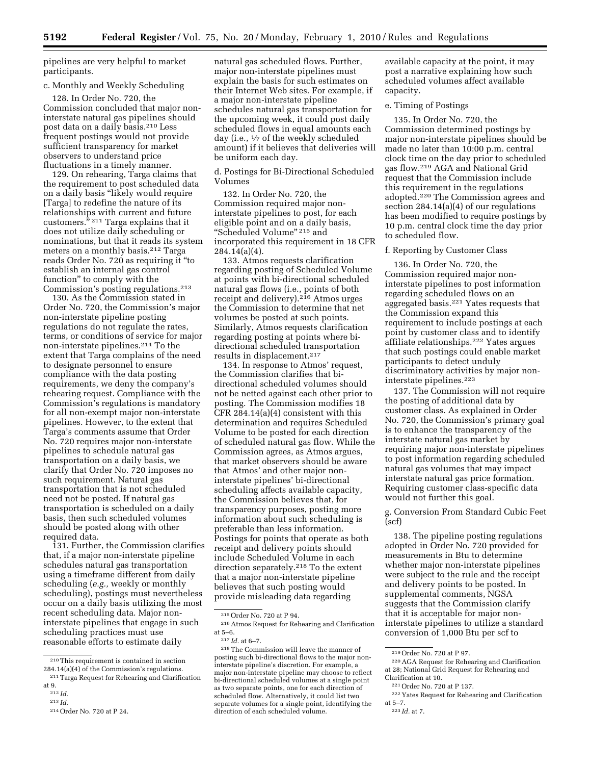pipelines are very helpful to market participants.

# c. Monthly and Weekly Scheduling

128. In Order No. 720, the Commission concluded that major noninterstate natural gas pipelines should post data on a daily basis.210 Less frequent postings would not provide sufficient transparency for market observers to understand price fluctuations in a timely manner.

129. On rehearing, Targa claims that the requirement to post scheduled data on a daily basis ''likely would require [Targa] to redefine the nature of its relationships with current and future customers."<sup>211</sup> Targa explains that it does not utilize daily scheduling or nominations, but that it reads its system meters on a monthly basis.212 Targa reads Order No. 720 as requiring it ''to establish an internal gas control function'' to comply with the Commission's posting regulations.213

130. As the Commission stated in Order No. 720, the Commission's major non-interstate pipeline posting regulations do not regulate the rates, terms, or conditions of service for major non-interstate pipelines.214 To the extent that Targa complains of the need to designate personnel to ensure compliance with the data posting requirements, we deny the company's rehearing request. Compliance with the Commission's regulations is mandatory for all non-exempt major non-interstate pipelines. However, to the extent that Targa's comments assume that Order No. 720 requires major non-interstate pipelines to schedule natural gas transportation on a daily basis, we clarify that Order No. 720 imposes no such requirement. Natural gas transportation that is not scheduled need not be posted. If natural gas transportation is scheduled on a daily basis, then such scheduled volumes should be posted along with other required data.

131. Further, the Commission clarifies that, if a major non-interstate pipeline schedules natural gas transportation using a timeframe different from daily scheduling (*e.g.,* weekly or monthly scheduling), postings must nevertheless occur on a daily basis utilizing the most recent scheduling data. Major noninterstate pipelines that engage in such scheduling practices must use reasonable efforts to estimate daily

natural gas scheduled flows. Further, major non-interstate pipelines must explain the basis for such estimates on their Internet Web sites. For example, if a major non-interstate pipeline schedules natural gas transportation for the upcoming week, it could post daily scheduled flows in equal amounts each day (i.e., 1⁄7 of the weekly scheduled amount) if it believes that deliveries will be uniform each day.

d. Postings for Bi-Directional Scheduled Volumes

132. In Order No. 720, the Commission required major noninterstate pipelines to post, for each eligible point and on a daily basis, "Scheduled Volume" 215 and incorporated this requirement in 18 CFR 284.14(a)(4).

133. Atmos requests clarification regarding posting of Scheduled Volume at points with bi-directional scheduled natural gas flows (i.e., points of both receipt and delivery).216 Atmos urges the Commission to determine that net volumes be posted at such points. Similarly, Atmos requests clarification regarding posting at points where bidirectional scheduled transportation results in displacement.217

134. In response to Atmos' request, the Commission clarifies that bidirectional scheduled volumes should not be netted against each other prior to posting. The Commission modifies 18 CFR 284.14(a)(4) consistent with this determination and requires Scheduled Volume to be posted for each direction of scheduled natural gas flow. While the Commission agrees, as Atmos argues, that market observers should be aware that Atmos' and other major noninterstate pipelines' bi-directional scheduling affects available capacity, the Commission believes that, for transparency purposes, posting more information about such scheduling is preferable than less information. Postings for points that operate as both receipt and delivery points should include Scheduled Volume in each direction separately.218 To the extent that a major non-interstate pipeline believes that such posting would provide misleading data regarding

available capacity at the point, it may post a narrative explaining how such scheduled volumes affect available capacity.

# e. Timing of Postings

135. In Order No. 720, the Commission determined postings by major non-interstate pipelines should be made no later than 10:00 p.m. central clock time on the day prior to scheduled gas flow.219 AGA and National Grid request that the Commission include this requirement in the regulations adopted.220 The Commission agrees and section 284.14(a)(4) of our regulations has been modified to require postings by 10 p.m. central clock time the day prior to scheduled flow.

# f. Reporting by Customer Class

136. In Order No. 720, the Commission required major noninterstate pipelines to post information regarding scheduled flows on an aggregated basis.221 Yates requests that the Commission expand this requirement to include postings at each point by customer class and to identify affiliate relationships.222 Yates argues that such postings could enable market participants to detect unduly discriminatory activities by major noninterstate pipelines.223

137. The Commission will not require the posting of additional data by customer class. As explained in Order No. 720, the Commission's primary goal is to enhance the transparency of the interstate natural gas market by requiring major non-interstate pipelines to post information regarding scheduled natural gas volumes that may impact interstate natural gas price formation. Requiring customer class-specific data would not further this goal.

g. Conversion From Standard Cubic Feet (scf)

138. The pipeline posting regulations adopted in Order No. 720 provided for measurements in Btu to determine whether major non-interstate pipelines were subject to the rule and the receipt and delivery points to be posted. In supplemental comments, NGSA suggests that the Commission clarify that it is acceptable for major noninterstate pipelines to utilize a standard conversion of 1,000 Btu per scf to

<sup>210</sup>This requirement is contained in section 284.14(a)(4) of the Commission's regulations.

<sup>211</sup>Targa Request for Rehearing and Clarification at 9.

<sup>212</sup> *Id.* 

<sup>213</sup> *Id.* 

<sup>214</sup>Order No. 720 at P 24.

<sup>215</sup>Order No. 720 at P 94.

<sup>216</sup>Atmos Request for Rehearing and Clarification at 5–6.

<sup>217</sup> *Id.* at 6–7.

<sup>218</sup>The Commission will leave the manner of posting such bi-directional flows to the major noninterstate pipeline's discretion. For example, a major non-interstate pipeline may choose to reflect bi-directional scheduled volumes at a single point as two separate points, one for each direction of scheduled flow. Alternatively, it could list two separate volumes for a single point, identifying the direction of each scheduled volume.

<sup>219</sup>Order No. 720 at P 97.

<sup>220</sup>AGA Request for Rehearing and Clarification at 28; National Grid Request for Rehearing and Clarification at 10.

<sup>221</sup>Order No. 720 at P 137.

<sup>222</sup> Yates Request for Rehearing and Clarification at 5–7.

<sup>223</sup> *Id.* at 7.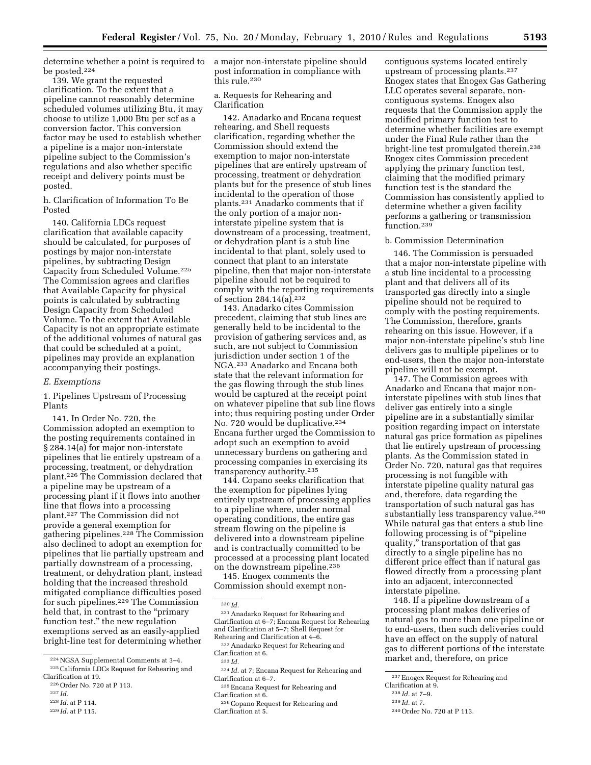determine whether a point is required to be posted.224

139. We grant the requested clarification. To the extent that a pipeline cannot reasonably determine scheduled volumes utilizing Btu, it may choose to utilize 1,000 Btu per scf as a conversion factor. This conversion factor may be used to establish whether a pipeline is a major non-interstate pipeline subject to the Commission's regulations and also whether specific receipt and delivery points must be posted.

h. Clarification of Information To Be Posted

140. California LDCs request clarification that available capacity should be calculated, for purposes of postings by major non-interstate pipelines, by subtracting Design Capacity from Scheduled Volume.225 The Commission agrees and clarifies that Available Capacity for physical points is calculated by subtracting Design Capacity from Scheduled Volume. To the extent that Available Capacity is not an appropriate estimate of the additional volumes of natural gas that could be scheduled at a point, pipelines may provide an explanation accompanying their postings.

#### *E. Exemptions*

1. Pipelines Upstream of Processing Plants

141. In Order No. 720, the Commission adopted an exemption to the posting requirements contained in § 284.14(a) for major non-interstate pipelines that lie entirely upstream of a processing, treatment, or dehydration plant.226 The Commission declared that a pipeline may be upstream of a processing plant if it flows into another line that flows into a processing plant.227 The Commission did not provide a general exemption for gathering pipelines.228 The Commission also declined to adopt an exemption for pipelines that lie partially upstream and partially downstream of a processing, treatment, or dehydration plant, instead holding that the increased threshold mitigated compliance difficulties posed for such pipelines.229 The Commission held that, in contrast to the ''primary function test,'' the new regulation exemptions served as an easily-applied bright-line test for determining whether

a major non-interstate pipeline should post information in compliance with this rule.230

a. Requests for Rehearing and Clarification

142. Anadarko and Encana request rehearing, and Shell requests clarification, regarding whether the Commission should extend the exemption to major non-interstate pipelines that are entirely upstream of processing, treatment or dehydration plants but for the presence of stub lines incidental to the operation of those plants.231 Anadarko comments that if the only portion of a major noninterstate pipeline system that is downstream of a processing, treatment, or dehydration plant is a stub line incidental to that plant, solely used to connect that plant to an interstate pipeline, then that major non-interstate pipeline should not be required to comply with the reporting requirements of section 284.14(a).232

143. Anadarko cites Commission precedent, claiming that stub lines are generally held to be incidental to the provision of gathering services and, as such, are not subject to Commission jurisdiction under section 1 of the NGA.233 Anadarko and Encana both state that the relevant information for the gas flowing through the stub lines would be captured at the receipt point on whatever pipeline that sub line flows into; thus requiring posting under Order No. 720 would be duplicative.<sup>234</sup> Encana further urged the Commission to adopt such an exemption to avoid unnecessary burdens on gathering and processing companies in exercising its transparency authority.235

144. Copano seeks clarification that the exemption for pipelines lying entirely upstream of processing applies to a pipeline where, under normal operating conditions, the entire gas stream flowing on the pipeline is delivered into a downstream pipeline and is contractually committed to be processed at a processing plant located on the downstream pipeline.236 145. Enogex comments the

Commission should exempt non-

contiguous systems located entirely upstream of processing plants.237 Enogex states that Enogex Gas Gathering LLC operates several separate, noncontiguous systems. Enogex also requests that the Commission apply the modified primary function test to determine whether facilities are exempt under the Final Rule rather than the bright-line test promulgated therein.<sup>238</sup> Enogex cites Commission precedent applying the primary function test, claiming that the modified primary function test is the standard the Commission has consistently applied to determine whether a given facility performs a gathering or transmission function.239

#### b. Commission Determination

146. The Commission is persuaded that a major non-interstate pipeline with a stub line incidental to a processing plant and that delivers all of its transported gas directly into a single pipeline should not be required to comply with the posting requirements. The Commission, therefore, grants rehearing on this issue. However, if a major non-interstate pipeline's stub line delivers gas to multiple pipelines or to end-users, then the major non-interstate pipeline will not be exempt.

147. The Commission agrees with Anadarko and Encana that major noninterstate pipelines with stub lines that deliver gas entirely into a single pipeline are in a substantially similar position regarding impact on interstate natural gas price formation as pipelines that lie entirely upstream of processing plants. As the Commission stated in Order No. 720, natural gas that requires processing is not fungible with interstate pipeline quality natural gas and, therefore, data regarding the transportation of such natural gas has substantially less transparency value.<sup>240</sup> While natural gas that enters a stub line following processing is of ''pipeline quality,'' transportation of that gas directly to a single pipeline has no different price effect than if natural gas flowed directly from a processing plant into an adjacent, interconnected interstate pipeline.

148. If a pipeline downstream of a processing plant makes deliveries of natural gas to more than one pipeline or to end-users, then such deliveries could have an effect on the supply of natural gas to different portions of the interstate market and, therefore, on price

<sup>224</sup>NGSA Supplemental Comments at 3–4. 225California LDCs Request for Rehearing and

Clarification at 19. 226Order No. 720 at P 113.

<sup>227</sup> *Id.* 

<sup>228</sup> *Id.* at P 114.

<sup>229</sup> *Id.* at P 115.

<sup>230</sup> *Id.* 

<sup>231</sup>Anadarko Request for Rehearing and Clarification at 6–7; Encana Request for Rehearing and Clarification at 5–7; Shell Request for Rehearing and Clarification at 4–6.

<sup>232</sup>Anadarko Request for Rehearing and Clarification at 6. 233 *Id.* 

<sup>234</sup> *Id.* at 7; Encana Request for Rehearing and Clarification at 6–7.

<sup>235</sup>Encana Request for Rehearing and Clarification at 6.

<sup>236</sup>Copano Request for Rehearing and Clarification at 5.

<sup>237</sup>Enogex Request for Rehearing and

Clarification at 9.

<sup>238</sup> *Id.* at 7–9.

<sup>239</sup> *Id.* at 7.

<sup>240</sup>Order No. 720 at P 113.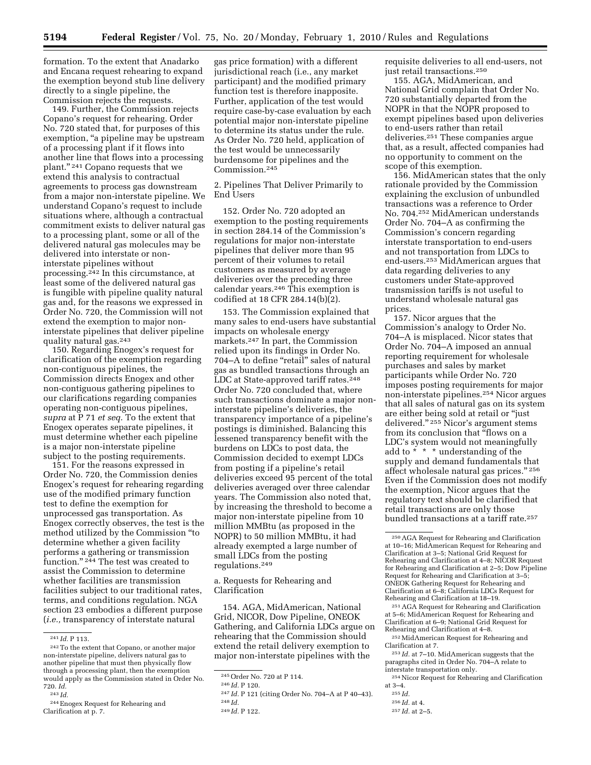formation. To the extent that Anadarko and Encana request rehearing to expand the exemption beyond stub line delivery directly to a single pipeline, the Commission rejects the requests.

149. Further, the Commission rejects Copano's request for rehearing. Order No. 720 stated that, for purposes of this exemption, "a pipeline may be upstream of a processing plant if it flows into another line that flows into a processing plant."<sup>241</sup> Copano requests that we extend this analysis to contractual agreements to process gas downstream from a major non-interstate pipeline. We understand Copano's request to include situations where, although a contractual commitment exists to deliver natural gas to a processing plant, some or all of the delivered natural gas molecules may be delivered into interstate or noninterstate pipelines without processing.242 In this circumstance, at least some of the delivered natural gas is fungible with pipeline quality natural gas and, for the reasons we expressed in Order No. 720, the Commission will not extend the exemption to major noninterstate pipelines that deliver pipeline quality natural gas.243

150. Regarding Enogex's request for clarification of the exemption regarding non-contiguous pipelines, the Commission directs Enogex and other non-contiguous gathering pipelines to our clarifications regarding companies operating non-contiguous pipelines, *supra* at P 71 *et seq.* To the extent that Enogex operates separate pipelines, it must determine whether each pipeline is a major non-interstate pipeline subject to the posting requirements.

151. For the reasons expressed in Order No. 720, the Commission denies Enogex's request for rehearing regarding use of the modified primary function test to define the exemption for unprocessed gas transportation. As Enogex correctly observes, the test is the method utilized by the Commission ''to determine whether a given facility performs a gathering or transmission function." <sup>244</sup> The test was created to assist the Commission to determine whether facilities are transmission facilities subject to our traditional rates, terms, and conditions regulation. NGA section 23 embodies a different purpose (*i.e.,* transparency of interstate natural

gas price formation) with a different jurisdictional reach (i.e., any market participant) and the modified primary function test is therefore inapposite. Further, application of the test would require case-by-case evaluation by each potential major non-interstate pipeline to determine its status under the rule. As Order No. 720 held, application of the test would be unnecessarily burdensome for pipelines and the Commission.245

2. Pipelines That Deliver Primarily to End Users

152. Order No. 720 adopted an exemption to the posting requirements in section 284.14 of the Commission's regulations for major non-interstate pipelines that deliver more than 95 percent of their volumes to retail customers as measured by average deliveries over the preceding three calendar years.246 This exemption is codified at 18 CFR 284.14(b)(2).

153. The Commission explained that many sales to end-users have substantial impacts on wholesale energy markets.247 In part, the Commission relied upon its findings in Order No. 704–A to define "retail" sales of natural gas as bundled transactions through an LDC at State-approved tariff rates.<sup>248</sup> Order No. 720 concluded that, where such transactions dominate a major noninterstate pipeline's deliveries, the transparency importance of a pipeline's postings is diminished. Balancing this lessened transparency benefit with the burdens on LDCs to post data, the Commission decided to exempt LDCs from posting if a pipeline's retail deliveries exceed 95 percent of the total deliveries averaged over three calendar years. The Commission also noted that, by increasing the threshold to become a major non-interstate pipeline from 10 million MMBtu (as proposed in the NOPR) to 50 million MMBtu, it had already exempted a large number of small LDCs from the posting regulations.249

a. Requests for Rehearing and Clarification

154. AGA, MidAmerican, National Grid, NICOR, Dow Pipeline, ONEOK Gathering, and California LDCs argue on rehearing that the Commission should extend the retail delivery exemption to major non-interstate pipelines with the

requisite deliveries to all end-users, not just retail transactions.<sup>250</sup>

155. AGA, MidAmerican, and National Grid complain that Order No. 720 substantially departed from the NOPR in that the NOPR proposed to exempt pipelines based upon deliveries to end-users rather than retail deliveries.251 These companies argue that, as a result, affected companies had no opportunity to comment on the scope of this exemption.

156. MidAmerican states that the only rationale provided by the Commission explaining the exclusion of unbundled transactions was a reference to Order No. 704.252 MidAmerican understands Order No. 704–A as confirming the Commission's concern regarding interstate transportation to end-users and not transportation from LDCs to end-users.253 MidAmerican argues that data regarding deliveries to any customers under State-approved transmission tariffs is not useful to understand wholesale natural gas prices.

157. Nicor argues that the Commission's analogy to Order No. 704–A is misplaced. Nicor states that Order No. 704–A imposed an annual reporting requirement for wholesale purchases and sales by market participants while Order No. 720 imposes posting requirements for major non-interstate pipelines.254 Nicor argues that all sales of natural gas on its system are either being sold at retail or ''just delivered.'' 255 Nicor's argument stems from its conclusion that "flows on a LDC's system would not meaningfully add to  $\stackrel{\check{\star}}{\vphantom{\star}}^*$  \*  $\;$  \* understanding of the supply and demand fundamentals that affect wholesale natural gas prices.'' 256 Even if the Commission does not modify the exemption, Nicor argues that the regulatory text should be clarified that retail transactions are only those bundled transactions at a tariff rate.257

<sup>251</sup> AGA Request for Rehearing and Clarification at 5–6; MidAmerican Request for Rehearing and Clarification at 6–9; National Grid Request for

 $\rm ^{252}MidAmerican$  Request for Rehearing and Clarification at 7.

256 *Id.* at 4.

<sup>241</sup> *Id.* P 113.

<sup>242</sup>To the extent that Copano, or another major non-interstate pipeline, delivers natural gas to another pipeline that must then physically flow through a processing plant, then the exemption would apply as the Commission stated in Order No. 720. *Id.* 

<sup>243</sup> *Id.* 

<sup>244</sup>Enogex Request for Rehearing and Clarification at p. 7.

<sup>245</sup>Order No. 720 at P 114.

<sup>246</sup> *Id.* P 120.

<sup>247</sup> *Id.* P 121 (citing Order No. 704–A at P 40–43). 248 *Id.* 

<sup>249</sup> *Id.* P 122.

<sup>250</sup>AGA Request for Rehearing and Clarification at 10–16; MidAmerican Request for Rehearing and Clarification at 3–5; National Grid Request for Rehearing and Clarification at 4–8; NICOR Request for Rehearing and Clarification at 2–5; Dow Pipeline Request for Rehearing and Clarification at 3–5; ONEOK Gathering Request for Rehearing and Clarification at 6–8; California LDCs Request for

<sup>253</sup> *Id.* at 7–10. MidAmerican suggests that the paragraphs cited in Order No. 704–A relate to interstate transportation only.

<sup>254</sup>Nicor Request for Rehearing and Clarification at 3–4.

<sup>255</sup> *Id.* 

<sup>257</sup> *Id.* at 2–5.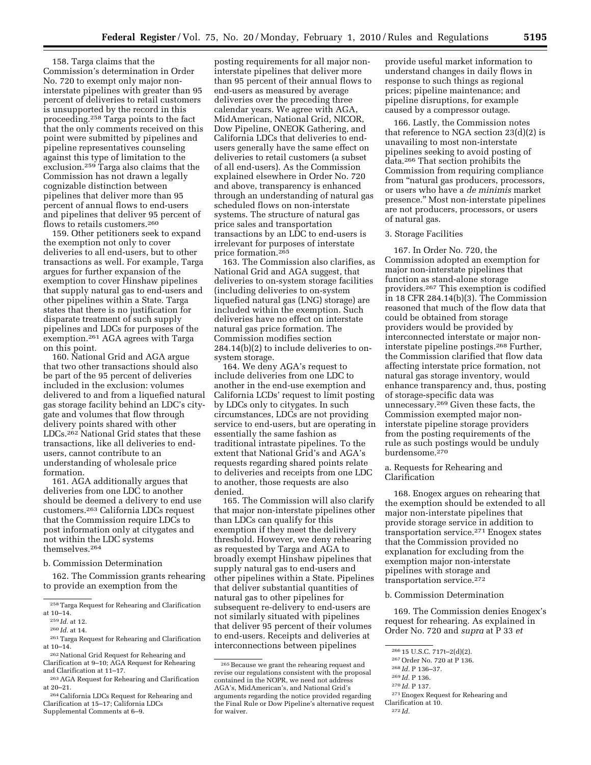158. Targa claims that the Commission's determination in Order No. 720 to exempt only major noninterstate pipelines with greater than 95 percent of deliveries to retail customers is unsupported by the record in this proceeding.258 Targa points to the fact that the only comments received on this point were submitted by pipelines and pipeline representatives counseling against this type of limitation to the exclusion.<sup>259</sup> Targa also claims that the Commission has not drawn a legally cognizable distinction between pipelines that deliver more than 95 percent of annual flows to end-users and pipelines that deliver 95 percent of flows to retails customers.260

159. Other petitioners seek to expand the exemption not only to cover deliveries to all end-users, but to other transactions as well. For example, Targa argues for further expansion of the exemption to cover Hinshaw pipelines that supply natural gas to end-users and other pipelines within a State. Targa states that there is no justification for disparate treatment of such supply pipelines and LDCs for purposes of the exemption.261 AGA agrees with Targa on this point.

160. National Grid and AGA argue that two other transactions should also be part of the 95 percent of deliveries included in the exclusion: volumes delivered to and from a liquefied natural gas storage facility behind an LDC's citygate and volumes that flow through delivery points shared with other LDCs.262 National Grid states that these transactions, like all deliveries to endusers, cannot contribute to an understanding of wholesale price formation.

161. AGA additionally argues that deliveries from one LDC to another should be deemed a delivery to end use customers.263 California LDCs request that the Commission require LDCs to post information only at citygates and not within the LDC systems themselves.264

#### b. Commission Determination

162. The Commission grants rehearing to provide an exemption from the

posting requirements for all major noninterstate pipelines that deliver more than 95 percent of their annual flows to end-users as measured by average deliveries over the preceding three calendar years. We agree with AGA, MidAmerican, National Grid, NICOR, Dow Pipeline, ONEOK Gathering, and California LDCs that deliveries to endusers generally have the same effect on deliveries to retail customers (a subset of all end-users). As the Commission explained elsewhere in Order No. 720 and above, transparency is enhanced through an understanding of natural gas scheduled flows on non-interstate systems. The structure of natural gas price sales and transportation transactions by an LDC to end-users is irrelevant for purposes of interstate price formation.265

163. The Commission also clarifies, as National Grid and AGA suggest, that deliveries to on-system storage facilities (including deliveries to on-system liquefied natural gas (LNG) storage) are included within the exemption. Such deliveries have no effect on interstate natural gas price formation. The Commission modifies section 284.14(b)(2) to include deliveries to onsystem storage.

164. We deny AGA's request to include deliveries from one LDC to another in the end-use exemption and California LCDs' request to limit posting by LDCs only to citygates. In such circumstances, LDCs are not providing service to end-users, but are operating in essentially the same fashion as traditional intrastate pipelines. To the extent that National Grid's and AGA's requests regarding shared points relate to deliveries and receipts from one LDC to another, those requests are also denied.

165. The Commission will also clarify that major non-interstate pipelines other than LDCs can qualify for this exemption if they meet the delivery threshold. However, we deny rehearing as requested by Targa and AGA to broadly exempt Hinshaw pipelines that supply natural gas to end-users and other pipelines within a State. Pipelines that deliver substantial quantities of natural gas to other pipelines for subsequent re-delivery to end-users are not similarly situated with pipelines that deliver 95 percent of their volumes to end-users. Receipts and deliveries at interconnections between pipelines

provide useful market information to understand changes in daily flows in response to such things as regional prices; pipeline maintenance; and pipeline disruptions, for example caused by a compressor outage.

166. Lastly, the Commission notes that reference to NGA section 23(d)(2) is unavailing to most non-interstate pipelines seeking to avoid posting of data.266 That section prohibits the Commission from requiring compliance from "natural gas producers, processors, or users who have a *de minimis* market presence.'' Most non-interstate pipelines are not producers, processors, or users of natural gas.

#### 3. Storage Facilities

167. In Order No. 720, the Commission adopted an exemption for major non-interstate pipelines that function as stand-alone storage providers.267 This exemption is codified in 18 CFR 284.14(b)(3). The Commission reasoned that much of the flow data that could be obtained from storage providers would be provided by interconnected interstate or major noninterstate pipeline postings.268 Further, the Commission clarified that flow data affecting interstate price formation, not natural gas storage inventory, would enhance transparency and, thus, posting of storage-specific data was unnecessary.269 Given these facts, the Commission exempted major noninterstate pipeline storage providers from the posting requirements of the rule as such postings would be unduly burdensome.270

a. Requests for Rehearing and Clarification

168. Enogex argues on rehearing that the exemption should be extended to all major non-interstate pipelines that provide storage service in addition to transportation service.271 Enogex states that the Commission provided no explanation for excluding from the exemption major non-interstate pipelines with storage and transportation service.272

#### b. Commission Determination

169. The Commission denies Enogex's request for rehearing. As explained in Order No. 720 and *supra* at P 33 *et* 

 $\rm ^{258}$  Targa Request for Rehearing and Clarification at 10–14.

<sup>259</sup> *Id.* at 12.

<sup>260</sup> *Id.* at 14.

<sup>261</sup>Targa Request for Rehearing and Clarification at 10–14.

<sup>262</sup>National Grid Request for Rehearing and Clarification at 9–10; AGA Request for Rehearing and Clarification at 11–17.

<sup>263</sup>AGA Request for Rehearing and Clarification at 20–21.

<sup>264</sup>California LDCs Request for Rehearing and Clarification at 15–17; California LDCs Supplemental Comments at 6–9.

<sup>265</sup>Because we grant the rehearing request and revise our regulations consistent with the proposal contained in the NOPR, we need not address AGA's, MidAmerican's, and National Grid's arguments regarding the notice provided regarding the Final Rule or Dow Pipeline's alternative request for waiver.

<sup>266</sup> 15 U.S.C. 717t–2(d)(2).

<sup>267</sup>Order No. 720 at P 136.

<sup>268</sup> *Id.* P 136–37.

<sup>269</sup> *Id.* P 136.

<sup>270</sup> *Id.* P 137.

<sup>271</sup>Enogex Request for Rehearing and Clarification at 10.

<sup>272</sup> *Id.*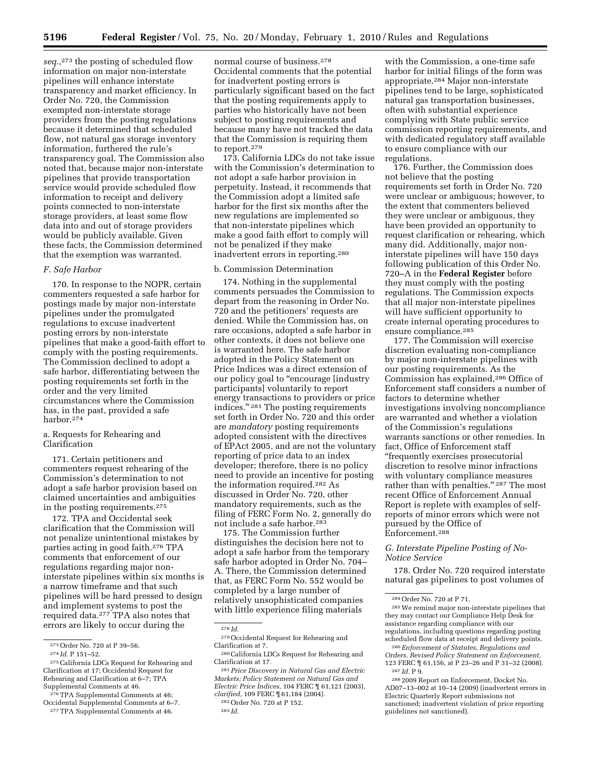*seq.,*273 the posting of scheduled flow information on major non-interstate pipelines will enhance interstate transparency and market efficiency. In Order No. 720, the Commission exempted non-interstate storage providers from the posting regulations because it determined that scheduled flow, not natural gas storage inventory information, furthered the rule's transparency goal. The Commission also noted that, because major non-interstate pipelines that provide transportation service would provide scheduled flow information to receipt and delivery points connected to non-interstate storage providers, at least some flow data into and out of storage providers would be publicly available. Given these facts, the Commission determined that the exemption was warranted.

#### *F. Safe Harbor*

170. In response to the NOPR, certain commenters requested a safe harbor for postings made by major non-interstate pipelines under the promulgated regulations to excuse inadvertent posting errors by non-interstate pipelines that make a good-faith effort to comply with the posting requirements. The Commission declined to adopt a safe harbor, differentiating between the posting requirements set forth in the order and the very limited circumstances where the Commission has, in the past, provided a safe harbor.274

a. Requests for Rehearing and Clarification

171. Certain petitioners and commenters request rehearing of the Commission's determination to not adopt a safe harbor provision based on claimed uncertainties and ambiguities in the posting requirements.275

172. TPA and Occidental seek clarification that the Commission will not penalize unintentional mistakes by parties acting in good faith.276 TPA comments that enforcement of our regulations regarding major noninterstate pipelines within six months is a narrow timeframe and that such pipelines will be hard pressed to design and implement systems to post the required data.277 TPA also notes that errors are likely to occur during the

normal course of business.278 Occidental comments that the potential for inadvertent posting errors is particularly significant based on the fact that the posting requirements apply to parties who historically have not been subject to posting requirements and because many have not tracked the data that the Commission is requiring them to report.279

173. California LDCs do not take issue with the Commission's determination to not adopt a safe harbor provision in perpetuity. Instead, it recommends that the Commission adopt a limited safe harbor for the first six months after the new regulations are implemented so that non-interstate pipelines which make a good faith effort to comply will not be penalized if they make inadvertent errors in reporting.280

# b. Commission Determination

174. Nothing in the supplemental comments persuades the Commission to depart from the reasoning in Order No. 720 and the petitioners' requests are denied. While the Commission has, on rare occasions, adopted a safe harbor in other contexts, it does not believe one is warranted here. The safe harbor adopted in the Policy Statement on Price Indices was a direct extension of our policy goal to ''encourage [industry participants] voluntarily to report energy transactions to providers or price indices.'' 281 The posting requirements set forth in Order No. 720 and this order are *mandatory* posting requirements adopted consistent with the directives of EPAct 2005, and are not the voluntary reporting of price data to an index developer; therefore, there is no policy need to provide an incentive for posting the information required.282 As discussed in Order No. 720, other mandatory requirements, such as the filing of FERC Form No. 2, generally do not include a safe harbor.283

175. The Commission further distinguishes the decision here not to adopt a safe harbor from the temporary safe harbor adopted in Order No. 704– A. There, the Commission determined that, as FERC Form No. 552 would be completed by a large number of relatively unsophisticated companies with little experience filing materials

278 *Id.* 

281*Price Discovery in Natural Gas and Electric Markets; Policy Statement on Natural Gas and Electric Price Indices,* 104 FERC ¶ 61,121 (2003), *clarified,* 109 FERC ¶ 61,184 (2004).

with the Commission, a one-time safe harbor for initial filings of the form was appropriate.284 Major non-interstate pipelines tend to be large, sophisticated natural gas transportation businesses, often with substantial experience complying with State public service commission reporting requirements, and with dedicated regulatory staff available to ensure compliance with our regulations.

176. Further, the Commission does not believe that the posting requirements set forth in Order No. 720 were unclear or ambiguous; however, to the extent that commenters believed they were unclear or ambiguous, they have been provided an opportunity to request clarification or rehearing, which many did. Additionally, major noninterstate pipelines will have 150 days following publication of this Order No. 720–A in the **Federal Register** before they must comply with the posting regulations. The Commission expects that all major non-interstate pipelines will have sufficient opportunity to create internal operating procedures to ensure compliance.285

177. The Commission will exercise discretion evaluating non-compliance by major non-interstate pipelines with our posting requirements. As the Commission has explained,286 Office of Enforcement staff considers a number of factors to determine whether investigations involving noncompliance are warranted and whether a violation of the Commission's regulations warrants sanctions or other remedies. In fact, Office of Enforcement staff ''frequently exercises prosecutorial discretion to resolve minor infractions with voluntary compliance measures rather than with penalties." <sup>287</sup> The most recent Office of Enforcement Annual Report is replete with examples of selfreports of minor errors which were not pursued by the Office of Enforcement.288

# *G. Interstate Pipeline Posting of No-Notice Service*

178. Order No. 720 required interstate natural gas pipelines to post volumes of

286*Enforcement of Statutes, Regulations and Orders, Revised Policy Statement on Enforcement,*  123 FERC ¶ 61,156, at P 23–26 and P 31–32 (2008). 287 *Id.* P 9.

288 2009 Report on Enforcement, Docket No. AD07–13–002 at 10–14 (2009) (inadvertent errors in Electric Quarterly Report submissions not sanctioned; inadvertent violation of price reporting guidelines not sanctioned).

<sup>273</sup>Order No. 720 at P 39–56.

<sup>274</sup> *Id.* P 151–52.

<sup>275</sup>California LDCs Request for Rehearing and Clarification at 17; Occidental Request for Rehearing and Clarification at 6–7; TPA Supplemental Comments at 46.

<sup>276</sup>TPA Supplemental Comments at 46; Occidental Supplemental Comments at 6–7. 277TPA Supplemental Comments at 46.

<sup>279</sup>Occidental Request for Rehearing and Clarification at 7.

<sup>280</sup>California LDCs Request for Rehearing and Clarification at 17.

<sup>282</sup>Order No. 720 at P 152.

<sup>283</sup> *Id.* 

<sup>284</sup>Order No. 720 at P 71.

<sup>285</sup>We remind major non-interstate pipelines that they may contact our Compliance Help Desk for assistance regarding compliance with our regulations, including questions regarding posting scheduled flow data at receipt and delivery points.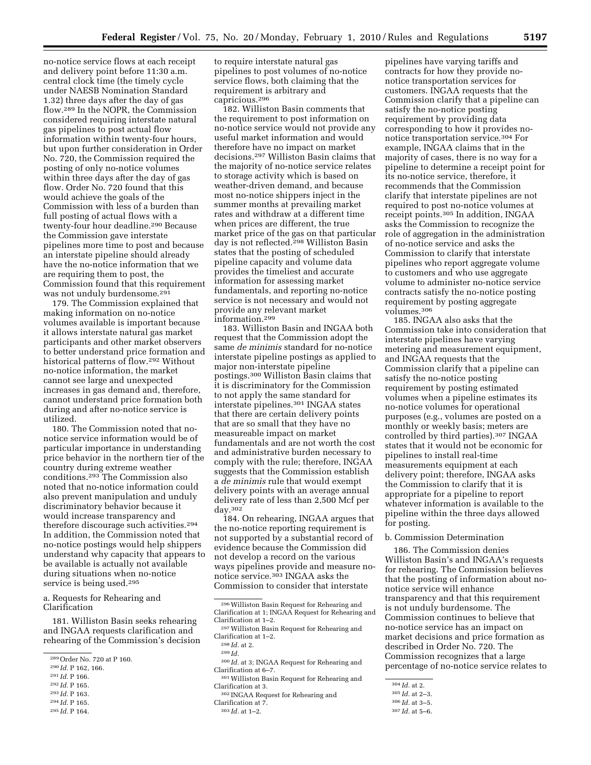no-notice service flows at each receipt and delivery point before 11:30 a.m. central clock time (the timely cycle under NAESB Nomination Standard 1.32) three days after the day of gas flow.289 In the NOPR, the Commission considered requiring interstate natural gas pipelines to post actual flow information within twenty-four hours, but upon further consideration in Order No. 720, the Commission required the posting of only no-notice volumes within three days after the day of gas flow. Order No. 720 found that this would achieve the goals of the Commission with less of a burden than full posting of actual flows with a twenty-four hour deadline.290 Because the Commission gave interstate pipelines more time to post and because an interstate pipeline should already have the no-notice information that we are requiring them to post, the Commission found that this requirement was not unduly burdensome.<sup>291</sup>

179. The Commission explained that making information on no-notice volumes available is important because it allows interstate natural gas market participants and other market observers to better understand price formation and historical patterns of flow.292 Without no-notice information, the market cannot see large and unexpected increases in gas demand and, therefore, cannot understand price formation both during and after no-notice service is utilized.

180. The Commission noted that nonotice service information would be of particular importance in understanding price behavior in the northern tier of the country during extreme weather conditions.293 The Commission also noted that no-notice information could also prevent manipulation and unduly discriminatory behavior because it would increase transparency and therefore discourage such activities.294 In addition, the Commission noted that no-notice postings would help shippers understand why capacity that appears to be available is actually not available during situations when no-notice service is being used.<sup>295</sup>

a. Requests for Rehearing and Clarification

181. Williston Basin seeks rehearing and INGAA requests clarification and rehearing of the Commission's decision

- 292 *Id.* P 165.
- 293 *Id.* P 163.

295 *Id.* P 164.

to require interstate natural gas pipelines to post volumes of no-notice service flows, both claiming that the requirement is arbitrary and capricious.296

182. Williston Basin comments that the requirement to post information on no-notice service would not provide any useful market information and would therefore have no impact on market decisions.297 Williston Basin claims that the majority of no-notice service relates to storage activity which is based on weather-driven demand, and because most no-notice shippers inject in the summer months at prevailing market rates and withdraw at a different time when prices are different, the true market price of the gas on that particular day is not reflected.<sup>298</sup> Williston Basin states that the posting of scheduled pipeline capacity and volume data provides the timeliest and accurate information for assessing market fundamentals, and reporting no-notice service is not necessary and would not provide any relevant market information.299

183. Williston Basin and INGAA both request that the Commission adopt the same *de minimis* standard for no-notice interstate pipeline postings as applied to major non-interstate pipeline postings.300 Williston Basin claims that it is discriminatory for the Commission to not apply the same standard for interstate pipelines.301 INGAA states that there are certain delivery points that are so small that they have no measureable impact on market fundamentals and are not worth the cost and administrative burden necessary to comply with the rule; therefore, INGAA suggests that the Commission establish a *de minimis* rule that would exempt delivery points with an average annual delivery rate of less than 2,500 Mcf per day.302

184. On rehearing, INGAA argues that the no-notice reporting requirement is not supported by a substantial record of evidence because the Commission did not develop a record on the various ways pipelines provide and measure nonotice service.303 INGAA asks the Commission to consider that interstate

301Williston Basin Request for Rehearing and Clarification at 3.

302 INGAA Request for Rehearing and

pipelines have varying tariffs and contracts for how they provide nonotice transportation services for customers. INGAA requests that the Commission clarify that a pipeline can satisfy the no-notice posting requirement by providing data corresponding to how it provides nonotice transportation service.304 For example, INGAA claims that in the majority of cases, there is no way for a pipeline to determine a receipt point for its no-notice service, therefore, it recommends that the Commission clarify that interstate pipelines are not required to post no-notice volumes at receipt points.305 In addition, INGAA asks the Commission to recognize the role of aggregation in the administration of no-notice service and asks the Commission to clarify that interstate pipelines who report aggregate volume to customers and who use aggregate volume to administer no-notice service contracts satisfy the no-notice posting requirement by posting aggregate volumes.306

185. INGAA also asks that the Commission take into consideration that interstate pipelines have varying metering and measurement equipment, and INGAA requests that the Commission clarify that a pipeline can satisfy the no-notice posting requirement by posting estimated volumes when a pipeline estimates its no-notice volumes for operational purposes (e.g., volumes are posted on a monthly or weekly basis; meters are controlled by third parties).307 INGAA states that it would not be economic for pipelines to install real-time measurements equipment at each delivery point; therefore, INGAA asks the Commission to clarify that it is appropriate for a pipeline to report whatever information is available to the pipeline within the three days allowed for posting.

# b. Commission Determination

186. The Commission denies Williston Basin's and INGAA's requests for rehearing. The Commission believes that the posting of information about nonotice service will enhance transparency and that this requirement is not unduly burdensome. The Commission continues to believe that no-notice service has an impact on market decisions and price formation as described in Order No. 720. The Commission recognizes that a large percentage of no-notice service relates to

<sup>289</sup>Order No. 720 at P 160.

<sup>290</sup> *Id.* P 162, 166.

<sup>291</sup> *Id.* P 166.

<sup>294</sup> *Id.* P 165.

<sup>296</sup>Williston Basin Request for Rehearing and Clarification at 1; INGAA Request for Rehearing and Clarification at 1–2.

<sup>297</sup>Williston Basin Request for Rehearing and Clarification at 1–2.

<sup>298</sup> *Id.* at 2.

<sup>299</sup> *Id.* 

<sup>300</sup> *Id.* at 3; INGAA Request for Rehearing and Clarification at 6–7.

Clarification at 7.

<sup>303</sup> *Id.* at 1–2.

<sup>304</sup> *Id.* at 2.

<sup>305</sup> *Id.* at 2–3.

<sup>306</sup> *Id.* at 3–5.

<sup>307</sup> *Id.* at 5–6.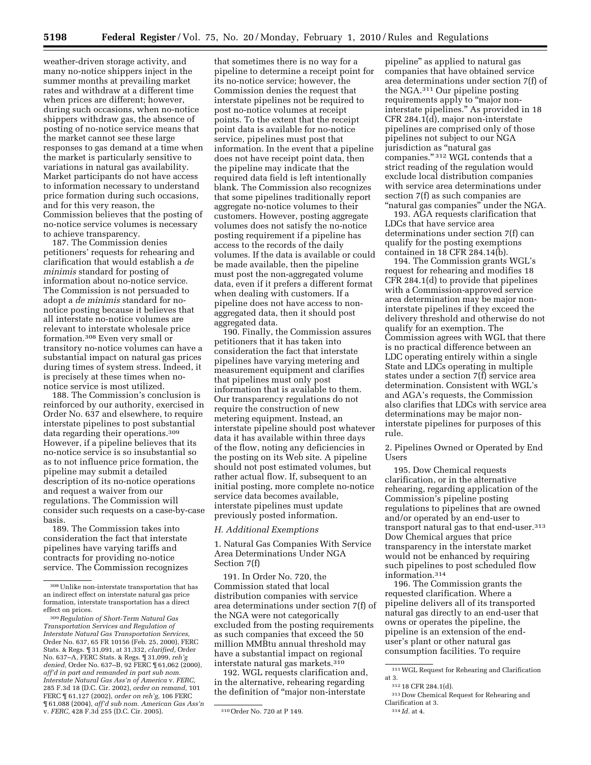weather-driven storage activity, and many no-notice shippers inject in the summer months at prevailing market rates and withdraw at a different time when prices are different; however, during such occasions, when no-notice shippers withdraw gas, the absence of posting of no-notice service means that the market cannot see these large responses to gas demand at a time when the market is particularly sensitive to variations in natural gas availability. Market participants do not have access to information necessary to understand price formation during such occasions, and for this very reason, the Commission believes that the posting of no-notice service volumes is necessary to achieve transparency.

187. The Commission denies petitioners' requests for rehearing and clarification that would establish a *de minimis* standard for posting of information about no-notice service. The Commission is not persuaded to adopt a *de minimis* standard for nonotice posting because it believes that all interstate no-notice volumes are relevant to interstate wholesale price formation.308 Even very small or transitory no-notice volumes can have a substantial impact on natural gas prices during times of system stress. Indeed, it is precisely at these times when nonotice service is most utilized.

188. The Commission's conclusion is reinforced by our authority, exercised in Order No. 637 and elsewhere, to require interstate pipelines to post substantial data regarding their operations.309 However, if a pipeline believes that its no-notice service is so insubstantial so as to not influence price formation, the pipeline may submit a detailed description of its no-notice operations and request a waiver from our regulations. The Commission will consider such requests on a case-by-case basis.

189. The Commission takes into consideration the fact that interstate pipelines have varying tariffs and contracts for providing no-notice service. The Commission recognizes

that sometimes there is no way for a pipeline to determine a receipt point for its no-notice service; however, the Commission denies the request that interstate pipelines not be required to post no-notice volumes at receipt points. To the extent that the receipt point data is available for no-notice service, pipelines must post that information. In the event that a pipeline does not have receipt point data, then the pipeline may indicate that the required data field is left intentionally blank. The Commission also recognizes that some pipelines traditionally report aggregate no-notice volumes to their customers. However, posting aggregate volumes does not satisfy the no-notice posting requirement if a pipeline has access to the records of the daily volumes. If the data is available or could be made available, then the pipeline must post the non-aggregated volume data, even if it prefers a different format when dealing with customers. If a pipeline does not have access to nonaggregated data, then it should post aggregated data.

190. Finally, the Commission assures petitioners that it has taken into consideration the fact that interstate pipelines have varying metering and measurement equipment and clarifies that pipelines must only post information that is available to them. Our transparency regulations do not require the construction of new metering equipment. Instead, an interstate pipeline should post whatever data it has available within three days of the flow, noting any deficiencies in the posting on its Web site. A pipeline should not post estimated volumes, but rather actual flow. If, subsequent to an initial posting, more complete no-notice service data becomes available, interstate pipelines must update previously posted information.

# *H. Additional Exemptions*

1. Natural Gas Companies With Service Area Determinations Under NGA Section 7(f)

191. In Order No. 720, the Commission stated that local distribution companies with service area determinations under section 7(f) of the NGA were not categorically excluded from the posting requirements as such companies that exceed the 50 million MMBtu annual threshold may have a substantial impact on regional interstate natural gas markets.310

192. WGL requests clarification and, in the alternative, rehearing regarding the definition of ''major non-interstate

pipeline'' as applied to natural gas companies that have obtained service area determinations under section 7(f) of the NGA.311 Our pipeline posting requirements apply to "major noninterstate pipelines.'' As provided in 18 CFR 284.1(d), major non-interstate pipelines are comprised only of those pipelines not subject to our NGA jurisdiction as ''natural gas companies." 312 WGL contends that a strict reading of the regulation would exclude local distribution companies with service area determinations under section 7(f) as such companies are "natural gas companies" under the NGA.

193. AGA requests clarification that LDCs that have service area determinations under section 7(f) can qualify for the posting exemptions contained in 18 CFR 284.14(b).

194. The Commission grants WGL's request for rehearing and modifies 18 CFR 284.1(d) to provide that pipelines with a Commission-approved service area determination may be major noninterstate pipelines if they exceed the delivery threshold and otherwise do not qualify for an exemption. The Commission agrees with WGL that there is no practical difference between an LDC operating entirely within a single State and LDCs operating in multiple states under a section 7(f) service area determination. Consistent with WGL's and AGA's requests, the Commission also clarifies that LDCs with service area determinations may be major noninterstate pipelines for purposes of this rule.

2. Pipelines Owned or Operated by End Users

195. Dow Chemical requests clarification, or in the alternative rehearing, regarding application of the Commission's pipeline posting regulations to pipelines that are owned and/or operated by an end-user to transport natural gas to that end-user.313 Dow Chemical argues that price transparency in the interstate market would not be enhanced by requiring such pipelines to post scheduled flow information.314

196. The Commission grants the requested clarification. Where a pipeline delivers all of its transported natural gas directly to an end-user that owns or operates the pipeline, the pipeline is an extension of the enduser's plant or other natural gas consumption facilities. To require

<sup>308</sup>Unlike non-interstate transportation that has an indirect effect on interstate natural gas price formation, interstate transportation has a direct effect on prices.

<sup>309</sup>*Regulation of Short-Term Natural Gas Transportation Services and Regulation of Interstate Natural Gas Transportation Services,*  Order No. 637, 65 FR 10156 (Feb. 25, 2000), FERC Stats. & Regs. ¶ 31,091, at 31,332, *clarified,* Order No. 637–A, FERC Stats. & Regs. ¶ 31,099, *reh'g denied,* Order No. 637–B, 92 FERC ¶ 61,062 (2000), *aff'd in part and remanded in part sub nom. Interstate Natural Gas Ass'n of America* v. *FERC,*  285 F.3d 18 (D.C. Cir. 2002), *order on remand,* 101 FERC ¶ 61,127 (2002), *order on reh'g,* 106 FERC ¶ 61,088 (2004), *aff'd sub nom. American Gas Ass'n*  v. *FERC,* 428 F.3d 255 (D.C. Cir. 2005). 310Order No. 720 at P 149.

<sup>311</sup>WGL Request for Rehearing and Clarification at 3.

<sup>312</sup> 18 CFR 284.1(d).

<sup>313</sup> Dow Chemical Request for Rehearing and Clarification at 3.

<sup>314</sup> *Id.* at 4.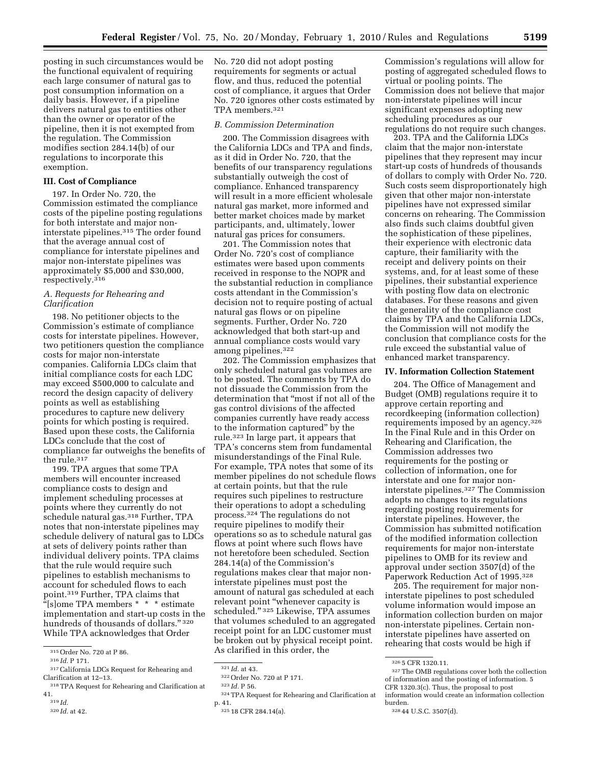posting in such circumstances would be the functional equivalent of requiring each large consumer of natural gas to post consumption information on a daily basis. However, if a pipeline delivers natural gas to entities other than the owner or operator of the pipeline, then it is not exempted from the regulation. The Commission modifies section 284.14(b) of our regulations to incorporate this exemption.

# **III. Cost of Compliance**

197. In Order No. 720, the Commission estimated the compliance costs of the pipeline posting regulations for both interstate and major noninterstate pipelines.315 The order found that the average annual cost of compliance for interstate pipelines and major non-interstate pipelines was approximately \$5,000 and \$30,000, respectively.316

#### *A. Requests for Rehearing and Clarification*

198. No petitioner objects to the Commission's estimate of compliance costs for interstate pipelines. However, two petitioners question the compliance costs for major non-interstate companies. California LDCs claim that initial compliance costs for each LDC may exceed \$500,000 to calculate and record the design capacity of delivery points as well as establishing procedures to capture new delivery points for which posting is required. Based upon these costs, the California LDCs conclude that the cost of compliance far outweighs the benefits of the rule.317

199. TPA argues that some TPA members will encounter increased compliance costs to design and implement scheduling processes at points where they currently do not schedule natural gas.318 Further, TPA notes that non-interstate pipelines may schedule delivery of natural gas to LDCs at sets of delivery points rather than individual delivery points. TPA claims that the rule would require such pipelines to establish mechanisms to account for scheduled flows to each point.319 Further, TPA claims that  $\frac{1}{2}$ [s]ome TPA members \* \* \* estimate implementation and start-up costs in the hundreds of thousands of dollars." 320 While TPA acknowledges that Order

- 317California LDCs Request for Rehearing and Clarification at 12–13.
- 318TPA Request for Rehearing and Clarification at 41.
- 319 *Id.*

No. 720 did not adopt posting requirements for segments or actual flow, and thus, reduced the potential cost of compliance, it argues that Order No. 720 ignores other costs estimated by TPA members.321

#### *B. Commission Determination*

200. The Commission disagrees with the California LDCs and TPA and finds, as it did in Order No. 720, that the benefits of our transparency regulations substantially outweigh the cost of compliance. Enhanced transparency will result in a more efficient wholesale natural gas market, more informed and better market choices made by market participants, and, ultimately, lower natural gas prices for consumers.

201. The Commission notes that Order No. 720's cost of compliance estimates were based upon comments received in response to the NOPR and the substantial reduction in compliance costs attendant in the Commission's decision not to require posting of actual natural gas flows or on pipeline segments. Further, Order No. 720 acknowledged that both start-up and annual compliance costs would vary among pipelines.322

202. The Commission emphasizes that only scheduled natural gas volumes are to be posted. The comments by TPA do not dissuade the Commission from the determination that ''most if not all of the gas control divisions of the affected companies currently have ready access to the information captured'' by the rule.323 In large part, it appears that TPA's concerns stem from fundamental misunderstandings of the Final Rule. For example, TPA notes that some of its member pipelines do not schedule flows at certain points, but that the rule requires such pipelines to restructure their operations to adopt a scheduling process.324 The regulations do not require pipelines to modify their operations so as to schedule natural gas flows at point where such flows have not heretofore been scheduled. Section 284.14(a) of the Commission's regulations makes clear that major noninterstate pipelines must post the amount of natural gas scheduled at each relevant point ''whenever capacity is scheduled.'' 325 Likewise, TPA assumes that volumes scheduled to an aggregated receipt point for an LDC customer must be broken out by physical receipt point. As clarified in this order, the

Commission's regulations will allow for posting of aggregated scheduled flows to virtual or pooling points. The Commission does not believe that major non-interstate pipelines will incur significant expenses adopting new scheduling procedures as our regulations do not require such changes.

203. TPA and the California LDCs claim that the major non-interstate pipelines that they represent may incur start-up costs of hundreds of thousands of dollars to comply with Order No. 720. Such costs seem disproportionately high given that other major non-interstate pipelines have not expressed similar concerns on rehearing. The Commission also finds such claims doubtful given the sophistication of these pipelines, their experience with electronic data capture, their familiarity with the receipt and delivery points on their systems, and, for at least some of these pipelines, their substantial experience with posting flow data on electronic databases. For these reasons and given the generality of the compliance cost claims by TPA and the California LDCs, the Commission will not modify the conclusion that compliance costs for the rule exceed the substantial value of enhanced market transparency.

#### **IV. Information Collection Statement**

204. The Office of Management and Budget (OMB) regulations require it to approve certain reporting and recordkeeping (information collection) requirements imposed by an agency.326 In the Final Rule and in this Order on Rehearing and Clarification, the Commission addresses two requirements for the posting or collection of information, one for interstate and one for major noninterstate pipelines.327 The Commission adopts no changes to its regulations regarding posting requirements for interstate pipelines. However, the Commission has submitted notification of the modified information collection requirements for major non-interstate pipelines to OMB for its review and approval under section 3507(d) of the Paperwork Reduction Act of 1995.328

205. The requirement for major noninterstate pipelines to post scheduled volume information would impose an information collection burden on major non-interstate pipelines. Certain noninterstate pipelines have asserted on rehearing that costs would be high if

<sup>315</sup>Order No. 720 at P 86.

<sup>316</sup> *Id.* P 171.

<sup>320</sup> *Id.* at 42.

<sup>321</sup> *Id.* at 43.

<sup>322</sup>Order No. 720 at P 171.

<sup>323</sup> *Id.* P 56.

<sup>324</sup>TPA Request for Rehearing and Clarification at p. 41.

<sup>325</sup> 18 CFR 284.14(a).

<sup>326</sup> 5 CFR 1320.11.

 $\rm ^{327}$  The OMB regulations cover both the collection of information and the posting of information. 5 CFR 1320.3(c). Thus, the proposal to post information would create an information collection burden.

<sup>328</sup> 44 U.S.C. 3507(d).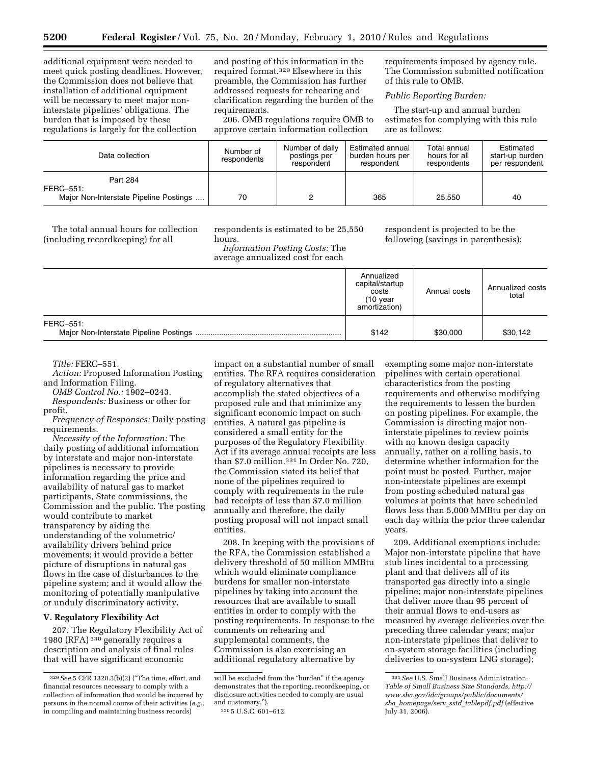additional equipment were needed to meet quick posting deadlines. However, the Commission does not believe that installation of additional equipment will be necessary to meet major noninterstate pipelines' obligations. The burden that is imposed by these regulations is largely for the collection

and posting of this information in the required format.329 Elsewhere in this preamble, the Commission has further addressed requests for rehearing and clarification regarding the burden of the requirements.

206. OMB regulations require OMB to approve certain information collection

requirements imposed by agency rule. The Commission submitted notification of this rule to OMB.

*Public Reporting Burden:* 

The start-up and annual burden estimates for complying with this rule are as follows:

| Data collection                        | Number of<br>respondents | Number of daily<br>postings per<br>respondent | Estimated annual<br>burden hours per<br>respondent | Total annual<br>hours for all<br>respondents | Estimated<br>start-up burden<br>per respondent |
|----------------------------------------|--------------------------|-----------------------------------------------|----------------------------------------------------|----------------------------------------------|------------------------------------------------|
| Part 284<br>FERC-551:                  |                          |                                               |                                                    |                                              |                                                |
| Major Non-Interstate Pipeline Postings | 70                       |                                               | 365                                                | 25.550                                       | 40                                             |

The total annual hours for collection (including recordkeeping) for all

respondents is estimated to be 25,550 hours. *Information Posting Costs:* The

average annualized cost for each

respondent is projected to be the following (savings in parenthesis):

|           | Annualized<br>capital/startup<br>costs<br>$(10 \text{ year})$<br>amortization) | Annual costs | Annualized costs<br>total |
|-----------|--------------------------------------------------------------------------------|--------------|---------------------------|
| FERC-551: | \$142                                                                          | \$30,000     | \$30,142                  |

*Title:* FERC–551.

*Action:* Proposed Information Posting and Information Filing.

*OMB Control No.:* 1902–0243. *Respondents:* Business or other for

profit.

*Frequency of Responses:* Daily posting requirements.

*Necessity of the Information:* The daily posting of additional information by interstate and major non-interstate pipelines is necessary to provide information regarding the price and availability of natural gas to market participants, State commissions, the Commission and the public. The posting would contribute to market transparency by aiding the understanding of the volumetric/ availability drivers behind price movements; it would provide a better picture of disruptions in natural gas flows in the case of disturbances to the pipeline system; and it would allow the monitoring of potentially manipulative or unduly discriminatory activity.

# **V. Regulatory Flexibility Act**

207. The Regulatory Flexibility Act of 1980 (RFA) 330 generally requires a description and analysis of final rules that will have significant economic

impact on a substantial number of small entities. The RFA requires consideration of regulatory alternatives that accomplish the stated objectives of a proposed rule and that minimize any significant economic impact on such entities. A natural gas pipeline is considered a small entity for the purposes of the Regulatory Flexibility Act if its average annual receipts are less than \$7.0 million.331 In Order No. 720, the Commission stated its belief that none of the pipelines required to comply with requirements in the rule had receipts of less than \$7.0 million annually and therefore, the daily posting proposal will not impact small entities.

208. In keeping with the provisions of the RFA, the Commission established a delivery threshold of 50 million MMBtu which would eliminate compliance burdens for smaller non-interstate pipelines by taking into account the resources that are available to small entities in order to comply with the posting requirements. In response to the comments on rehearing and supplemental comments, the Commission is also exercising an additional regulatory alternative by

exempting some major non-interstate pipelines with certain operational characteristics from the posting requirements and otherwise modifying the requirements to lessen the burden on posting pipelines. For example, the Commission is directing major noninterstate pipelines to review points with no known design capacity annually, rather on a rolling basis, to determine whether information for the point must be posted. Further, major non-interstate pipelines are exempt from posting scheduled natural gas volumes at points that have scheduled flows less than 5,000 MMBtu per day on each day within the prior three calendar years.

209. Additional exemptions include: Major non-interstate pipeline that have stub lines incidental to a processing plant and that delivers all of its transported gas directly into a single pipeline; major non-interstate pipelines that deliver more than 95 percent of their annual flows to end-users as measured by average deliveries over the preceding three calendar years; major non-interstate pipelines that deliver to on-system storage facilities (including deliveries to on-system LNG storage);

<sup>329</sup>*See* 5 CFR 1320.3(b)(2) (''The time, effort, and financial resources necessary to comply with a collection of information that would be incurred by persons in the normal course of their activities (*e.g.,*  in compiling and maintaining business records)

will be excluded from the "burden" if the agency demonstrates that the reporting, recordkeeping, or disclosure activities needed to comply are usual and customary.'').

<sup>330</sup> 5 U.S.C. 601–612.

<sup>331</sup>*See* U.S. Small Business Administration, *Table of Small Business Size Standards, http:// www.sba.gov/idc/groups/public/documents/ sba*\_*homepage/serv*\_*sstd*\_*tablepdf.pdf* (effective  $Iulv 31, 2006$ ).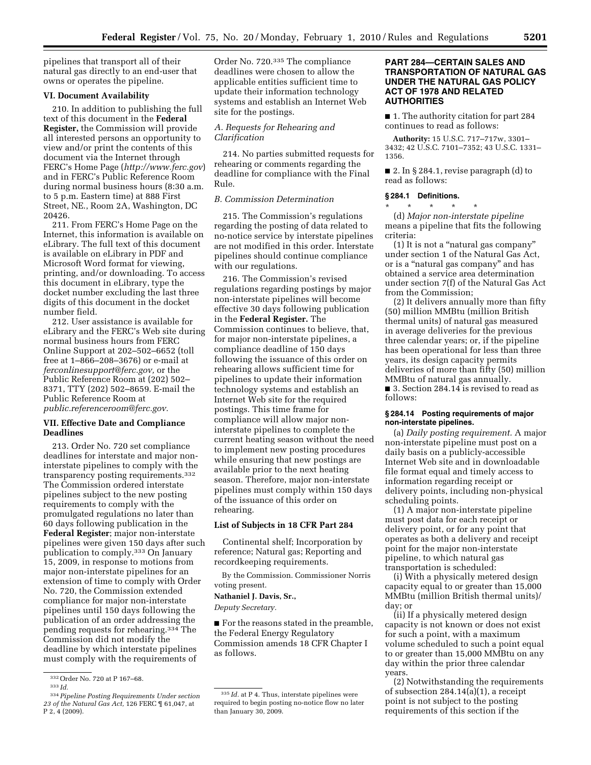pipelines that transport all of their natural gas directly to an end-user that owns or operates the pipeline.

# **VI. Document Availability**

210. In addition to publishing the full text of this document in the **Federal Register,** the Commission will provide all interested persons an opportunity to view and/or print the contents of this document via the Internet through FERC's Home Page (*http://www.ferc.gov*) and in FERC's Public Reference Room during normal business hours (8:30 a.m. to 5 p.m. Eastern time) at 888 First Street, NE., Room 2A, Washington, DC 20426.

211. From FERC's Home Page on the Internet, this information is available on eLibrary. The full text of this document is available on eLibrary in PDF and Microsoft Word format for viewing, printing, and/or downloading. To access this document in eLibrary, type the docket number excluding the last three digits of this document in the docket number field.

212. User assistance is available for eLibrary and the FERC's Web site during normal business hours from FERC Online Support at 202–502–6652 (toll free at 1–866–208–3676) or e-mail at *ferconlinesupport@ferc.gov,* or the Public Reference Room at (202) 502– 8371, TTY (202) 502–8659. E-mail the Public Reference Room at *public.referenceroom@ferc.gov.* 

#### **VII. Effective Date and Compliance Deadlines**

213. Order No. 720 set compliance deadlines for interstate and major noninterstate pipelines to comply with the transparency posting requirements.332 The Commission ordered interstate pipelines subject to the new posting requirements to comply with the promulgated regulations no later than 60 days following publication in the **Federal Register**; major non-interstate pipelines were given 150 days after such publication to comply.333 On January 15, 2009, in response to motions from major non-interstate pipelines for an extension of time to comply with Order No. 720, the Commission extended compliance for major non-interstate pipelines until 150 days following the publication of an order addressing the pending requests for rehearing.334 The Commission did not modify the deadline by which interstate pipelines must comply with the requirements of

Order No. 720.335 The compliance deadlines were chosen to allow the applicable entities sufficient time to update their information technology systems and establish an Internet Web site for the postings.

# *A. Requests for Rehearing and Clarification*

214. No parties submitted requests for rehearing or comments regarding the deadline for compliance with the Final Rule.

## *B. Commission Determination*

215. The Commission's regulations regarding the posting of data related to no-notice service by interstate pipelines are not modified in this order. Interstate pipelines should continue compliance with our regulations.

216. The Commission's revised regulations regarding postings by major non-interstate pipelines will become effective 30 days following publication in the **Federal Register.** The Commission continues to believe, that, for major non-interstate pipelines, a compliance deadline of 150 days following the issuance of this order on rehearing allows sufficient time for pipelines to update their information technology systems and establish an Internet Web site for the required postings. This time frame for compliance will allow major noninterstate pipelines to complete the current heating season without the need to implement new posting procedures while ensuring that new postings are available prior to the next heating season. Therefore, major non-interstate pipelines must comply within 150 days of the issuance of this order on rehearing.

# **List of Subjects in 18 CFR Part 284**

Continental shelf; Incorporation by reference; Natural gas; Reporting and recordkeeping requirements.

By the Commission. Commissioner Norris voting present.

## **Nathaniel J. Davis, Sr.,**

*Deputy Secretary.* 

■ For the reasons stated in the preamble, the Federal Energy Regulatory Commission amends 18 CFR Chapter I as follows.

# **PART 284—CERTAIN SALES AND TRANSPORTATION OF NATURAL GAS UNDER THE NATURAL GAS POLICY ACT OF 1978 AND RELATED AUTHORITIES**

■ 1. The authority citation for part 284 continues to read as follows:

**Authority:** 15 U.S.C. 717–717w, 3301– 3432; 42 U.S.C. 7101–7352; 43 U.S.C. 1331– 1356.

■ 2. In § 284.1, revise paragraph (d) to read as follows:

#### **§ 284.1 Definitions.**

\* \* \* \* \* (d) *Major non-interstate pipeline*  means a pipeline that fits the following criteria:

(1) It is not a ''natural gas company'' under section 1 of the Natural Gas Act, or is a ''natural gas company'' and has obtained a service area determination under section 7(f) of the Natural Gas Act from the Commission;

(2) It delivers annually more than fifty (50) million MMBtu (million British thermal units) of natural gas measured in average deliveries for the previous three calendar years; or, if the pipeline has been operational for less than three years, its design capacity permits deliveries of more than fifty (50) million MMBtu of natural gas annually.

■ 3. Section 284.14 is revised to read as follows:

#### **§ 284.14 Posting requirements of major non-interstate pipelines.**

(a) *Daily posting requirement.* A major non-interstate pipeline must post on a daily basis on a publicly-accessible Internet Web site and in downloadable file format equal and timely access to information regarding receipt or delivery points, including non-physical scheduling points.

(1) A major non-interstate pipeline must post data for each receipt or delivery point, or for any point that operates as both a delivery and receipt point for the major non-interstate pipeline, to which natural gas transportation is scheduled:

(i) With a physically metered design capacity equal to or greater than 15,000 MMBtu (million British thermal units)/ day; or

(ii) If a physically metered design capacity is not known or does not exist for such a point, with a maximum volume scheduled to such a point equal to or greater than 15,000 MMBtu on any day within the prior three calendar years.

(2) Notwithstanding the requirements of subsection 284.14(a)(1), a receipt point is not subject to the posting requirements of this section if the

<sup>332</sup>Order No. 720 at P 167–68.

<sup>333</sup> *Id.* 

<sup>334</sup>*Pipeline Posting Requirements Under section 23 of the Natural Gas Act,* 126 FERC ¶ 61,047, at P 2, 4 (2009).

 $^{\rm 335}$   $\it Id.$  at P 4. Thus, interstate pipelines were required to begin posting no-notice flow no later than January 30, 2009.